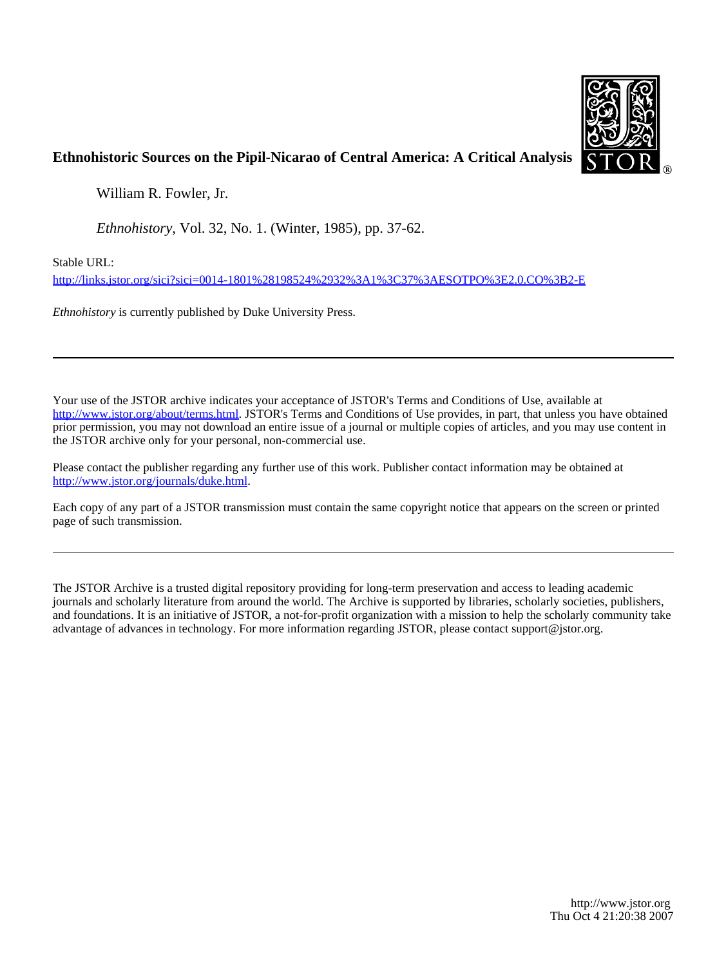

# **Ethnohistoric Sources on the Pipil-Nicarao of Central America: A Critical Analysis**

William R. Fowler, Jr.

*Ethnohistory*, Vol. 32, No. 1. (Winter, 1985), pp. 37-62.

Stable URL:

<http://links.jstor.org/sici?sici=0014-1801%28198524%2932%3A1%3C37%3AESOTPO%3E2.0.CO%3B2-E>

*Ethnohistory* is currently published by Duke University Press.

Your use of the JSTOR archive indicates your acceptance of JSTOR's Terms and Conditions of Use, available at [http://www.jstor.org/about/terms.html.](http://www.jstor.org/about/terms.html) JSTOR's Terms and Conditions of Use provides, in part, that unless you have obtained prior permission, you may not download an entire issue of a journal or multiple copies of articles, and you may use content in the JSTOR archive only for your personal, non-commercial use.

Please contact the publisher regarding any further use of this work. Publisher contact information may be obtained at [http://www.jstor.org/journals/duke.html.](http://www.jstor.org/journals/duke.html)

Each copy of any part of a JSTOR transmission must contain the same copyright notice that appears on the screen or printed page of such transmission.

The JSTOR Archive is a trusted digital repository providing for long-term preservation and access to leading academic journals and scholarly literature from around the world. The Archive is supported by libraries, scholarly societies, publishers, and foundations. It is an initiative of JSTOR, a not-for-profit organization with a mission to help the scholarly community take advantage of advances in technology. For more information regarding JSTOR, please contact support@jstor.org.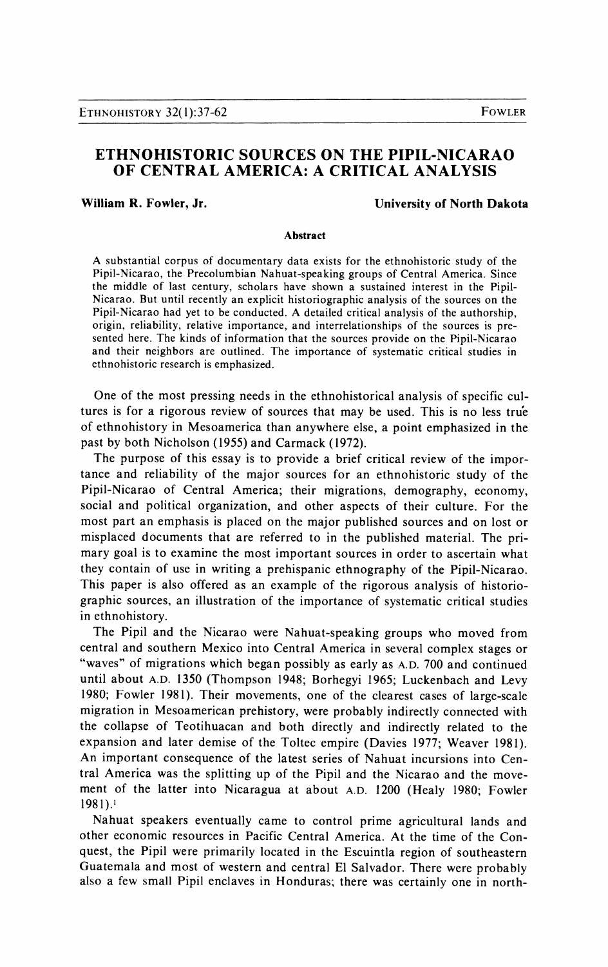#### **ETHNOHISTORIC SOURCES ON THE PIPIL-NICARAO OF CENTRAL AMERICA: A CRITICAL ANALYSIS**

#### **William R. Fowler, Jr. University of North Dakota**

#### **Abstract**

A substantial corpus of documentary data exists for the ethnohistoric study of the Pipil-Nicarao, the Precolumbian Nahuat-speaking groups of Central America. Since the middle of last century, scholars have shown a sustained interest in the Pipil-Nicarao. But until recently an explicit historiographic analysis of the sources on the Pipil-Nicarao had yet to be conducted. A detailed critical analysis of the authorship, origin, reliability, relative importance, and interrelationships of the sources is presented here. The kinds of information that the sources provide on the Pipil-Nicarao and their neighbors are outlined. The importance of systematic critical studies in ethnohistoric research is emphasized.

One of the most pressing needs in the ethnohistorical analysis of specific cultures is for a rigorous review of sources that may be used. This is no less tru'e of ethnohistory in Mesoamerica than anywhere else, a point emphasized in the past by both Nicholson (1955) and Carmack (1972).

The purpose of this essay is to provide a brief critical review of the importance and reliability of the major sources for an ethnohistoric study of the Pipil-Nicarao of Central America; their migrations, demography, economy, social and political organization, and other aspects of their culture. For the most part an emphasis is placed on the major published sources and on lost or misplaced documents that are referred to in the published material. The primary goal is to examine the most important sources in order to ascertain what they contain of use in writing a prehispanic ethnography of the Pipil-Nicarao. This paper is also offered as an example of the rigorous analysis of historiographic sources, an illustration of the importance of systematic critical studies in ethnohistory.

The Pipil and the Nicarao were Nahuat-speaking groups who moved from central and southern Mexico into Central America in several complex stages or "waves" of migrations which began possibly as early as **A.D.** 700 and continued until about **A.D.** 1350 (Thompson 1948; Borhegyi 1965; Luckenbach and Levy 1980; Fowler 1981). Their movements, one of the clearest cases of large-scale migration in Mesoamerican prehistory, were probably indirectly connected with the collapse of Teotihuacan and both directly and indirectly related to the expansion and later demise of the Toltec empire (Davies 1977; Weaver 1981). An important consequence of the latest series of Nahuat incursions into Central America was the splitting up of the Pipil and the Nicarao and the movement of the latter into Nicaragua at about **A.D.** 1200 (Healy 1980; Fowler 1981).1

Nahuat speakers eventually came to control prime agricultural lands and other economic resources in Pacific Central America. At the time of the Conquest, the Pipil were primarily located in the Escuintla region of southeastern Guatemala and most of western and central El Salvador. There were probably also a few small Pipil enclaves in Honduras; there was certainly one in north-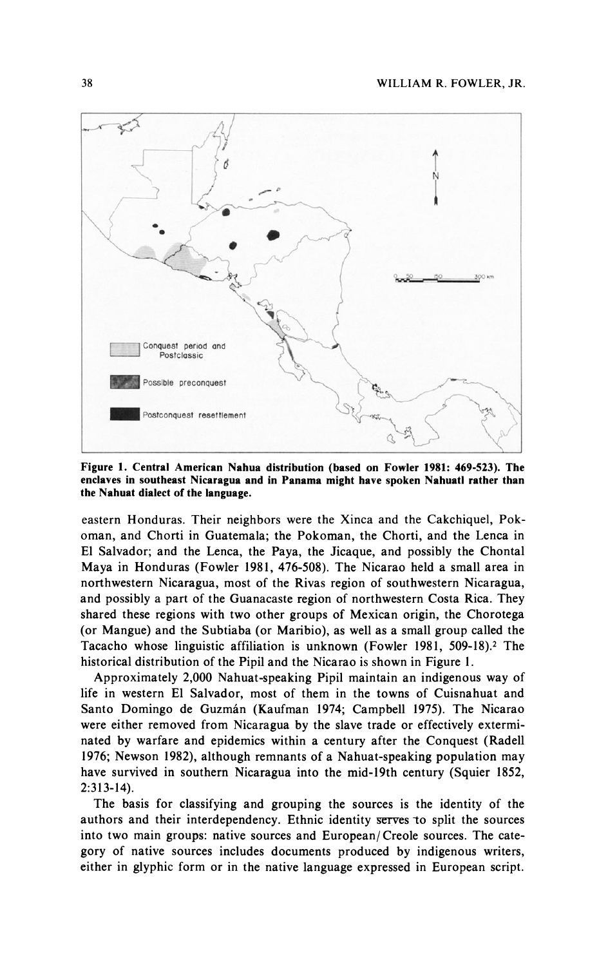

**Figure 1. Central American Nahua distribution (based on Fowler 1981: 469-523). The enclaves in southeast Nicaragua and in Panama might have spoken Nahuatl rather than the Nahuat dialect of the language.** 

eastern Honduras. Their neighbors were the Xinca and the Cakchiquel, Pokoman, and Chorti in Guatemala; the Pokoman, the Chorti, and the Lenca in El Salvador; and the Lenca, the Paya, the Jicaque, and possibly the Chontal Maya in Honduras (Fowler 1981, 476-508). The Nicarao held a small area in northwestern Nicaragua, most of the Rivas region of southwestern Nicaragua, and possibly a part of the Guanacaste region of northwestern Costa Rica. They shared these regions with two other groups of Mexican origin, the Chorotega (or Mangue) and the Subtiaba (or Maribio), as well as a small group called the Tacacho whose linguistic affiliation is unknown (Fowler 1981, 509-18).2 The historical distribution of the Pipil and the Nicarao is shown in Figure 1.

Approximately 2,000 Nahuat-speaking Pipil maintain an indigenous way of life in western El Salvador, most of them in the towns of Cuisnahuat and Santo Domingo de Guzmán (Kaufman 1974; Campbell 1975). The Nicarao were either removed from Nicaragua by the slave trade or effectively exterminated by warfare and epidemics within a century after the Conquest (Radell 1976; Newson 1982), although remnants of a Nahuat-speaking population may have survived in southern Nicaragua into the mid-19th century (Squier 1852,  $2:313-14$ .

The basis for classifying and grouping the sources is the identity of the authors and their interdependency. Ethnic identity serves to split the sources into two main groups: native sources and European/Creole sources. The category of native sources includes documents produced by indigenous writers, either in glyphic form or in the native language expressed in European script.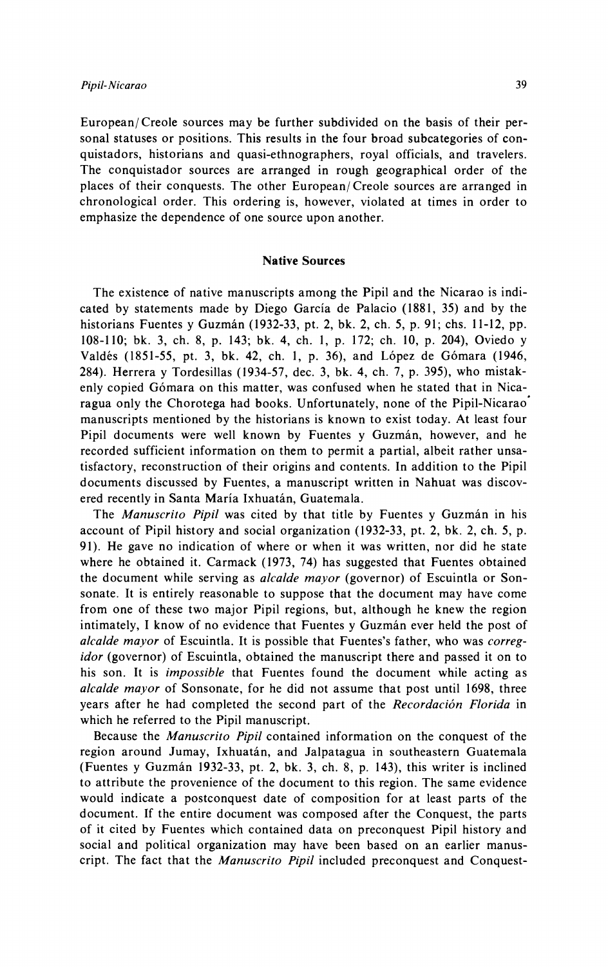European/Creole sources may be further subdivided on the basis of their personal statuses or positions. This results in the four broad subcategories of conquistadors, historians and quasi-ethnographers, royal officials, and travelers. The conquistador sources are arranged in rough geographical order of the places of their conquests. The other European/ Creole sources are arranged in chronological order. This ordering is, however, violated at times in order to emphasize the dependence of one source upon another.

#### **Native Sources**

The existence of native manuscripts among the Pipil and the Nicarao is indicated by statements made by Diego Garcia de Palacio (1881, 35) and by the historians Fuentes y Guzmán (1932-33, pt. 2, bk. 2, ch. 5, p. 91; chs. 11-12, pp. 108-110; bk. 3, ch. 8, p. 143; bk. 4, ch. 1, p. 172; ch. 10, p. 204), Oviedo y Valdés (1851-55, pt. 3, bk. 42, ch. 1, p. 36), and López de Gómara (1946, 284). Herrera y Tordesillas (1934-57, dec. 3, bk. 4, ch. 7, p. 395), who mistakenly copied Gómara on this matter, was confused when he stated that in Nicaragua only the Chorotega had books. Unfortunately, none of the Pipil-Nicarao manuscripts mentioned by the historians is known to exist today. At least four Pipil documents were well known by Fuentes y Guzmán, however, and he recorded sufficient information on them to permit a partial, albeit rather unsatisfactory, reconstruction of their origins and contents. In addition to the Pipil documents discussed by Fuentes, a manuscript written in Nahuat was discovered recently in Santa María Ixhuatán, Guatemala.

The *Manuscrito Pipil* was cited by that title by Fuentes y Guzman in his account of Pipil history and social organization (1932-33, pt. 2, bk. 2, ch. 5, p. 91). He gave no indication of where or when it was written, nor did he state where he obtained it. Carmack (1973, 74) has suggested that Fuentes obtained the document while serving as *alcalde mayor* (governor) of Escuintla or Sonsonate. It is entirely reasonable to suppose that the document may have come from one of these two major Pipil regions, but, although he knew the region intimately, I know of no evidence that Fuentes y Guzman ever held the post of *alcalde mayor* of Escuintla. It is possible that Fuentes's father, who was *corregidor* (governor) of Escuintla, obtained the manuscript there and passed it on to his son. It is *impossible* that Fuentes found the document while acting as *alcalde mayor* of Sonsonate, for he did not assume that post until 1698, three years after he had completed the second part of the *Recordacibn Florida* in which he referred to the Pipil manuscript.

Because the *Manuscrito Pipil* contained information on the conquest of the region around Jumay, Ixhuatán, and Jalpatagua in southeastern Guatemala (Fuentes y Guzman 1932-33, pt. 2, bk. 3, ch. 8, p. 143), this writer is inclined to attribute the provenience of the document to this region. The same evidence would indicate a postconquest date of composition for at least parts of the document. If the entire document was composed after the Conquest, the parts of it cited by Fuentes which contained data on preconquest Pipil history and social and political organization may have been based on an earlier manuscript. The fact that the *Manuscrito Pipil* included preconquest and Conquest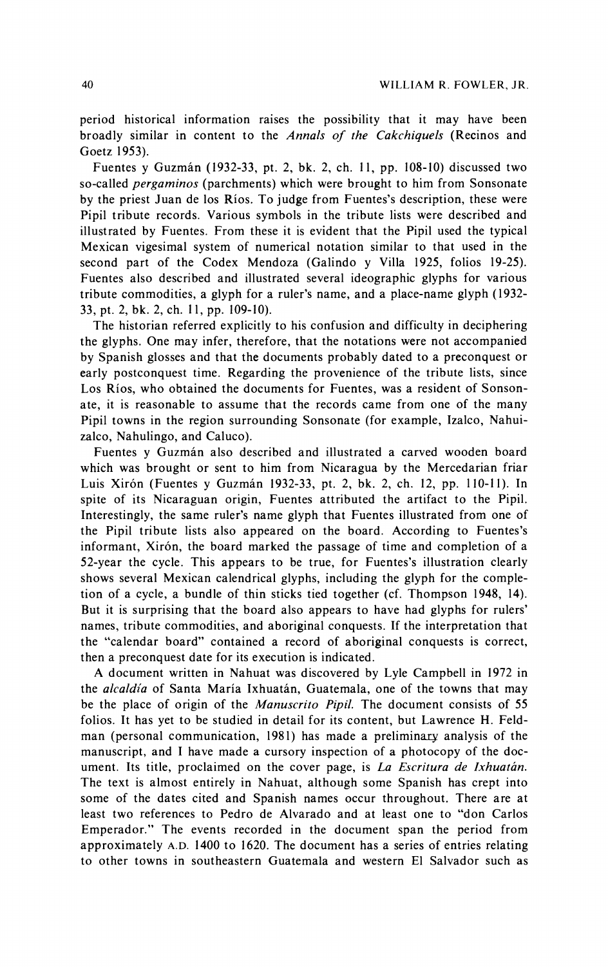period historical information raises the possibility that it may have been broadly similar in content to the *Annals of the Cakchiquels* (Recinos and Goetz 1953).

Fuentes y Guzman (1932-33, pt. **2,** bk. 2, ch. 11, pp. 108-10) discussed two so-called *pergaminos* (parchments) which were brought to him from Sonsonate by the priest Juan de 10s Rios. To judge from Fuentes's description, these were Pipil tribute records. Various symbols in the tribute lists were described and illustrated by Fuentes. From these it is evident that the Pipil used the typical Mexican vigesimal system of numerical notation similar to that used in the second part of the Codex Mendoza (Galindo y Villa 1925, folios 19-25). Fuentes also described and illustrated several ideographic glyphs for various tribute commodities, a glyph for a ruler's name, and a place-name glyph (1932- 33, pt. 2, bk. 2, ch. 11, pp. 109-10).

The historian referred explicitly to his confusion and difficulty in deciphering the glyphs. One may infer, therefore, that the notations were not accompanied by Spanish glosses and that the documents probably dated to a preconquest or early postconquest time. Regarding the provenience of the tribute lists, since Los Rios, who obtained the documents for Fuentes, was a resident of Sonsonate, it is reasonable to assume that the records came from one of the many Pipil towns in the region surrounding Sonsonate (for example, Izalco, Nahuizalco, Nahulingo, and Caluco).

Fuentes y Guzmán also described and illustrated a carved wooden board which was brought or sent to him from Nicaragua by the Mercedarian friar Luis Xirón (Fuentes y Guzmán 1932-33, pt. 2, bk. 2, ch. 12, pp. 110-11). In spite of its Nicaraguan origin, Fuentes attributed the artifact to the Pipil. Interestingly, the same ruler's name glyph that Fuentes illustrated from one of the Pipil tribute lists also appeared on the board. According to Fuentes's informant, Xirón, the board marked the passage of time and completion of a 52-year the cycle. This appears to be true, for Fuentes's illustration clearly shows several Mexican calendrical glyphs, including the glyph for the completion of a cycle, a bundle of thin sticks tied together (cf. Thompson 1948, 14). But it is surprising that the board also appears to have had glyphs for rulers' names, tribute commodities, and aboriginal conquests. If the interpretation that the "calendar board" contained a record of aboriginal conquests is correct, then a preconquest date for its execution is indicated.

A document written in Nahuat was discovered by Lyle Campbell in 1972 in the *alcaldia* of Santa María Ixhuatán, Guatemala, one of the towns that may be the place of origin of the *Manuscrito Pipil.* The document consists of 55 folios. It has yet to be studied in detail for its content, but Lawrence H. Feldman (personal communication, 1981) has made a preliminary analysis of the manuscript, and I have made a cursory inspection of a photocopy of the document. Its title, proclaimed on the cover page, is *La Escritura de Ixhuatan.*  The text is almost entirely in Nahuat, although some Spanish has crept into some of the dates cited and Spanish names occur throughout. There are at least two references to Pedro de Alvarado and at least one to "don Carlos Emperador." The events recorded in the document span the period from approximately **A.D.** 1400 to 1620. The document has a series of entries relating to other towns in southeastern Guatemala and western El Salvador such as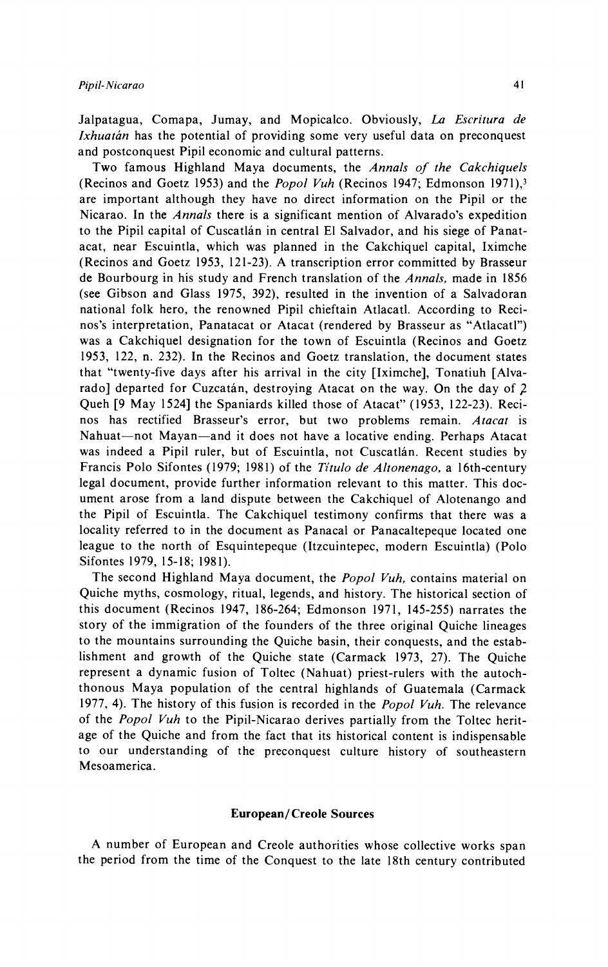Jalpatagua, Comapa, Jumay, and Mopicalco. Obviously, *La Escritura de Ixhuatan* has the potential of providing some very useful data on preconquest and postconquest Pipil economic and cultural patterns.

Two famous Highland Maya documents, the *Annals of the Cakchiquels*  (Recinos and Goetz 1953) and the *Popol Vuh* (Recinos 1947; Edmonson 1971),3 are important although they have no direct information on the Pipil or the Nicarao. In the *Annals* there is a significant mention of Alvarado's expedition to the Pipil capital of Cuscatlan in central El Salvador, and his siege of Panatacat, near Escuintla, which was planned in the Cakchiquel capital, Iximche (Recinos and Goetz 1953, 121-23). A transcription error committed by Brasseur de Bourbourg in his study and French translation of the *Annals,* made in 1856 (see Gibson and Glass 1975, 392), resulted in the invention of a Salvadoran national folk hero, the renowned Pipil chieftain Atlacatl. According to Recinos's interpretation, Panatacat or Atacat (rendered by Brasseur as "Atlacatl") was a Cakchiquel designation for the town of Escuintla (Recinos and Goetz 1953, 122, n. 232). In the Recinos and Goetz translation, the document states that "twenty-five days after his arrival in the city [Iximche], Tonatiuh [Alvarado] departed for Cuzcatán, destroying Atacat on the way. On the day of 2 Queh [9 May 1524] the Spaniards killed those of Atacat" (1953, 122-23). Recinos has rectified Brasseur's error, but two problems remain. *Atacat* is Nahuat-not Mayan-and it does not have a locative ending. Perhaps Atacat was indeed a Pipil ruler, but of Escuintla, not Cuscatlan. Recent studies by Francis Polo Sifontes (1979; 1981) of the *Titulo de Altonenago,* a 16th-century legal document, provide further information relevant to this matter. This document arose from a land dispute between the Cakchiquel of Alotenango and the Pipil of Escuintla. The Cakchiquel testimony confirms that there was a locality referred to in the document as Panacal or Panacaltepeque located one league to the north of Esquintepeque (Itzcuintepec, modern Escuintla) (Polo Sifontes 1979, 15-18; 1981).

The second Highland Maya document, the *Popol Vuh,* contains material on Quiche myths, cosmology, ritual, legends, and history. The historical section of this document (Recinos 1947, 186-264; Edmonson 1971, 145-255) narrates the story of the immigration of the founders of the three original Quiche lineages to the mountains surrounding the Quiche basin, their conquests, and the establishment and growth of the Quiche state (Carmack 1973, 27). The Quiche represent a dynamic fusion of Toltec (Nahuat) priest-rulers with the autochthonous Maya population of the central highlands of Guatemala (Carmack 1977, 4). The history of this fusion is recorded in the *Popol Vuh.* The relevance of the *Popol Vuh* to the Pipil-Nicarao derives partially from the Toltec heritage of the Quiche and from the fact that its historical content is indispensable to our understanding of the preconquest culture history of southeastern Mesoamerica.

#### **European/Creole Sources**

A number of European and Creole authorities whose collective works span the period from the time of the Conquest to the late 18th century contributed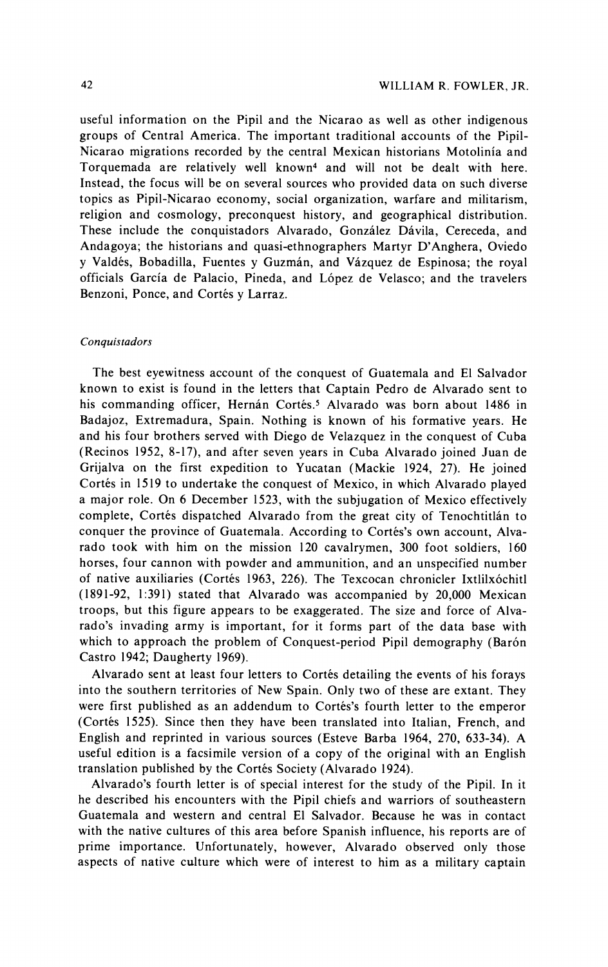useful information on the Pipil and the Nicarao as well as other indigenous groups of Central America. The important traditional accounts of the Pipil-Nicarao migrations recorded by the central Mexican historians Motolinia and Torquemada are relatively well known4 and will not be dealt with here. Instead, the focus will be on several sources who provided data on such diverse topics as Pipil-Nicarao economy, social organization, warfare and militarism, religion and cosmology, preconquest history, and geographical distribution. These include the conquistadors Alvarado, González Dávila, Cereceda, and Andagoya; the historians and quasi-ethnographers Martyr D'Anghera, Oviedo y Valdés, Bobadilla, Fuentes y Guzmán, and Vázquez de Espinosa; the royal officials Garcia de Palacio, Pineda, and Lopez de Velasco; and the travelers Benzoni, Ponce, and Cortés y Larraz.

#### *Conquistadors*

The best eyewitness account of the conquest of Guatemala and El Salvador known to exist is found in the letters that Captain Pedro de Alvarado sent to his commanding officer, Hernán Cortés.<sup>5</sup> Alvarado was born about 1486 in Badajoz, Extremadura, Spain. Nothing is known of his formative years. He and his four brothers served with Diego de Velazquez in the conquest of Cuba (Recinos 1952, 8-17), and after seven years in Cuba Alvarado joined Juan de Grijalva on the first expedition to Yucatan (Mackie 1924, 27). He joined Cortés in 1519 to undertake the conquest of Mexico, in which Alvarado played a major role. On 6 December 1523, with the subjugation of Mexico effectively complete, Cortés dispatched Alvarado from the great city of Tenochtitlán to conquer the province of Guatemala. According to Cortés's own account, Alvarado took with him on the mission 120 cavalrymen, 300 foot soldiers, 160 horses, four cannon with powder and ammunition, and an unspecified number of native auxiliaries (Cortés 1963, 226). The Texcocan chronicler Ixtlilxóchitl (1891-92, 1:391) stated that Alvarado was accompanied by 20,000 Mexican troops, but this figure appears to be exaggerated. The size and force of Alvarado's invading army is important, for it forms part of the data base with which to approach the problem of Conquest-period Pipil demography (Barón Castro 1942; Daugherty 1969).

Alvarado sent at least four letters to Cortés detailing the events of his forays into the southern territories of New Spain. Only two of these are extant. They were first published as an addendum to Cortés's fourth letter to the emperor (Cortés 1525). Since then they have been translated into Italian, French, and English and reprinted in various sources (Esteve Barba 1964, 270, 633-34). A useful edition is a facsimile version of a copy of the original with an English translation published by the Cortés Society (Alvarado 1924).

Alvarado's fourth letter is of special interest for the study of the Pipil. In it he described his encounters with the Pipil chiefs and warriors of southeastern Guatemala and western and central El Salvador. Because he was in contact with the native cultures of this area before Spanish influence, his reports are of prime importance. Unfortunately, however, Alvarado observed only those aspects of native culture which were of interest to him as a military captain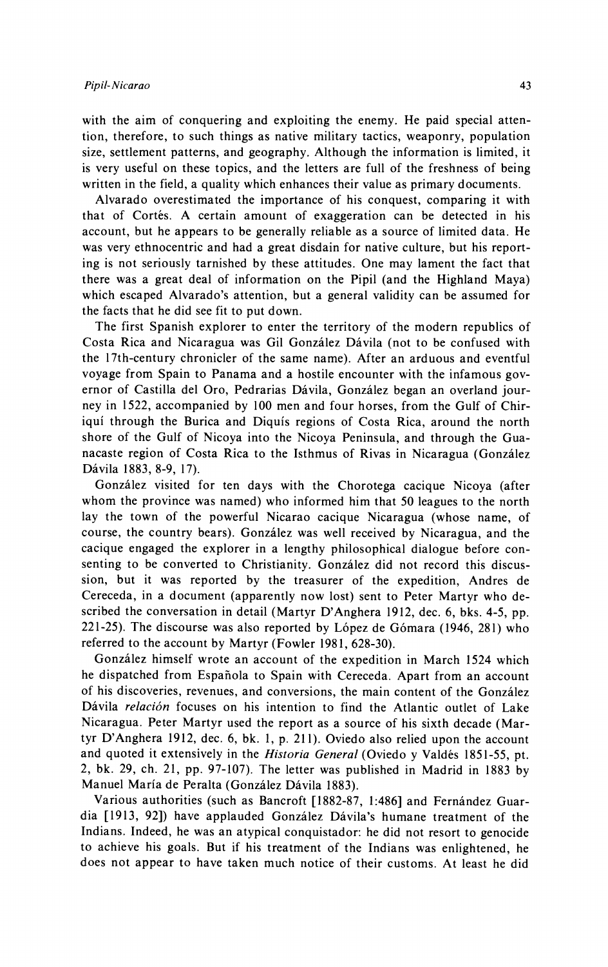with the aim of conquering and exploiting the enemy. He paid special attention, therefore, to such things as native military tactics, weaponry, population size, settlement patterns, and geography. Although the information is limited, it is very useful on these topics, and the letters are full of the freshness of being written in the field, a quality which enhances their value as primary documents.

Alvarado overestimated the importance of his conquest, comparing it with that of Cortés. A certain amount of exaggeration can be detected in his account, but he appears to be generally reliable as a source of limited data. He was very ethnocentric and had a great disdain for native culture, but his reporting is not seriously tarnished by these attitudes. One may lament the fact that there was a great deal of information on the Pipil (and the Highland Maya) which escaped Alvarado's attention, but a general validity can be assumed for the facts that he did see fit to put down.

The first Spanish explorer to enter the territory of the modern republics of Costa Rica and Nicaragua was Gil González Dávila (not to be confused with the 17th-century chronicler of the same name). After an arduous and eventful voyage from Spain to Panama and a hostile encounter with the infamous governor of Castilla del Oro, Pedrarias Dávila, González began an overland journey in 1522, accompanied by 100 men and four horses, from the Gulf of Chiriqui through the Burica and Diquis regions of Costa Rica, around the north shore of the Gulf of Nicoya into the Nicoya Peninsula, and through the Guanacaste region of Costa Rica to the Isthmus of Rivas in Nicaragua (Gonzalez Dávila 1883, 8-9, 17).

González visited for ten days with the Chorotega cacique Nicoya (after whom the province was named) who informed him that 50 leagues to the north lay the town of the powerful Nicarao cacique Nicaragua (whose name, of course, the country bears). Gonzalez was well received by Nicaragua, and the cacique engaged the explorer in a lengthy philosophical dialogue before consenting to be converted to Christianity. Gonzalez did not record this discussion, but it was reported by the treasurer of the expedition, Andres de Cereceda, in a document (apparently now lost) sent to Peter Martyr who described the conversation in detail (Martyr D'Anghera 1912, dec. 6, bks. 4-5, pp. 221-25). The discourse was also reported by López de Gómara (1946, 281) who referred to the account by Martyr (Fowler 1981, 628-30).

Gonzalez himself wrote an account of the expedition in March 1524 which he dispatched from Española to Spain with Cereceda. Apart from an account of his discoveries, revenues, and conversions, the main content of the Gonzalez Dávila *relación* focuses on his intention to find the Atlantic outlet of Lake Nicaragua. Peter Martyr used the report as a source of his sixth decade (Martyr D'Anghera 1912, dec. 6, bk. l, p. 211). Oviedo also relied upon the account and quoted it extensively in the *Historia General* (Oviedo y Valdés 1851-55, pt. 2, bk. 29, ch. 21, pp. 97-107). The letter was published in Madrid in 1883 by Manuel María de Peralta (González Dávila 1883).

Various authorities (such as Bancroft [1882-87, 1:486] and Fernández Guardia [1913, 92]) have applauded González Dávila's humane treatment of the Indians. Indeed, he was an atypical conquistador: he did not resort to genocide to achieve his goals. But if his treatment of the Indians was enlightened, he does not appear to have taken much notice of their customs. At least he did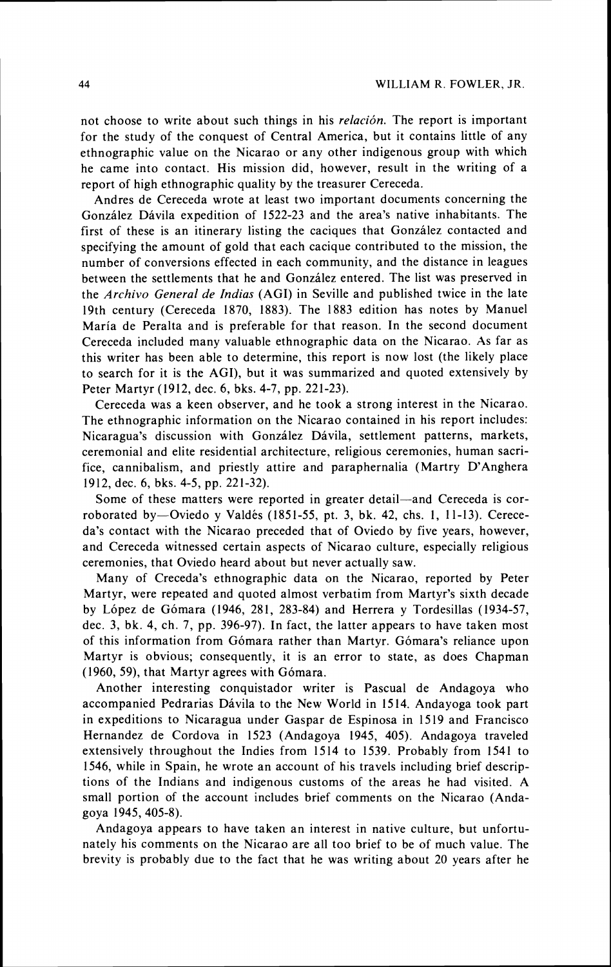not choose to write about such things in his *relacibn.* The report is important for the study of the conquest of Central America, but it contains little of any ethnographic value on the Nicarao or any other indigenous group with which he came into contact. His mission did, however, result in the writing of a report of high ethnographic quality by the treasurer Cereceda.

Andres de Cereceda wrote at least two important documents concerning the Gonzalez Davila expedition of 1522-23 and the area's native inhabitants. The first of these is an itinerary listing the caciques that Gonzalez contacted and specifying the amount of gold that each cacique contributed to the mission, the number of conversions effected in each community, and the distance in leagues between the settlements that he and Gonzalez entered. The list was preserved in the *Archivo General de Indias* (AGI) in Seville and published twice in the late 19th century (Cereceda 1870, 1883). The 1883 edition has notes by Manuel Maria de Peralta and is preferable for that reason. In the second document Cereceda included many valuable ethnographic data on the Nicarao. As far as this writer has been able to determine, this report is now lost (the likely place to search for it is the AGI), but it was summarized and quoted extensively by Peter Martyr (1912, dec. 6, bks. 4-7, pp. 221-23).

Cereceda was a keen observer, and he took a strong interest in the Nicarao. The ethnographic information on the Nicarao contained in his report includes: Nicaragua's discussion with González Dávila, settlement patterns, markets, ceremonial and elite residential architecture, religious ceremonies, human sacrifice, cannibalism, and priestly attire and paraphernalia (Martry D'Anghera 1912, dec. 6, bks. 4-5, pp. 221-32).

Some of these matters were reported in greater detail—and Cereceda is corroborated by-Oviedo y Valdés (1851-55, pt. 3, bk. 42, chs. 1, 11-13). Cereceda's contact with the Nicarao preceded that of Oviedo by five years, however, and Cereceda witnessed certain aspects of Nicarao culture, especially religious ceremonies, that Oviedo heard about but never actually saw.

Many of Creceda's ethnographic data on the Nicarao, reported by Peter Martyr, were repeated and quoted almost verbatim from Martyr's sixth decade by Lopez de G6mara (1946, 281, 283-84) and Herrera y Tordesillas (1934-57, dec. 3, bk. 4, ch. 7, pp. 396-97). In fact, the latter appears to have taken most of this information from Gomara rather than Martyr. Gomara's reliance upon Martyr is obvious; consequently, it is an error to state, as does Chapman (1960, 59), that Martyr agrees with Gomara.

Another interesting conquistador writer is Pascual de Andagoya who accompanied Pedrarias Dávila to the New World in 1514. Andayoga took part in expeditions to Nicaragua under Gaspar de Espinosa in 1519 and Francisco Hernandez de Cordova in 1523 (Andagoya 1945, 405). Andagoya traveled extensively throughout the Indies from 1514 to 1539. Probably from 1541 to 1546, while in Spain, he wrote an account of his travels including brief descriptions of the Indians and indigenous customs of the areas he had visited. A small portion of the account includes brief comments on the Nicarao (Andagoya 1945, 405-8).

Andagoya appears to have taken an interest in native culture, but unfortunately his comments on the Nicarao are all too brief to be of much value. The brevity is probably due to the fact that he was writing about 20 years after he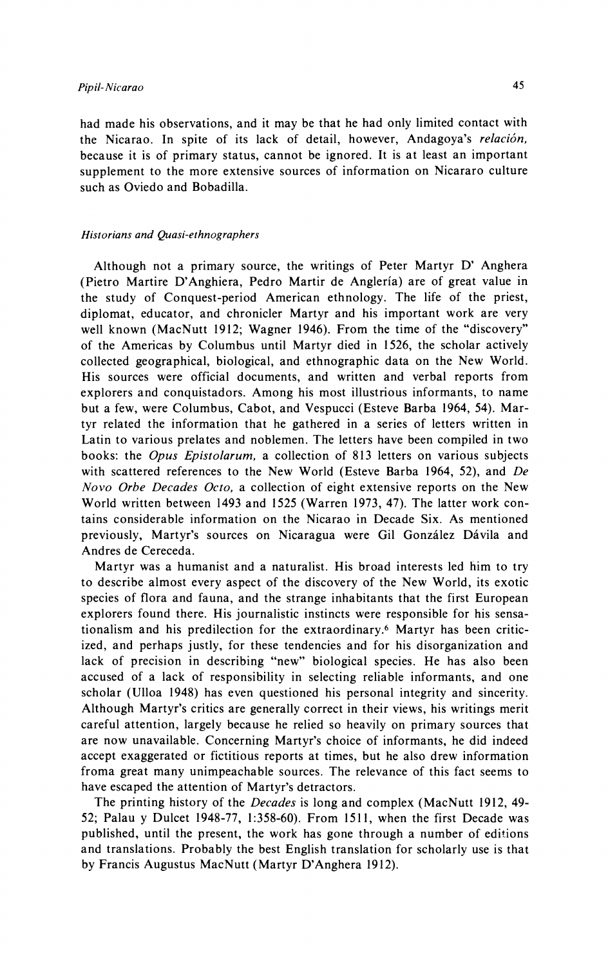had made his observations, and it may be that he had only limited contact with the Nicarao. In spite of its lack of detail, however, Andagoya's *relacibn,*  because it is of primary status, cannot be ignored. It is at least an important supplement to the more extensive sources of information on Nicararo culture such as Oviedo and Bobadilla.

#### *Historians and Quasi-ethnographers*

Although not a primary source, the writings of Peter Martyr D' Anghera (Pietro Martire D'Anghiera, Pedro Martir de Angleria) are of great value in the study of Conquest-period American ethnology. The life of the priest, diplomat, educator, and chronicler Martyr and his important work are very well known (MacNutt 1912; Wagner 1946). From the time of the "discovery" of the Americas by Columbus until Martyr died in 1526, the scholar actively collected geographical, biological, and ethnographic data on the New World. His sources were official documents, and written and verbal reports from explorers and conquistadors. Among his most illustrious informants, to name but a few, were Columbus, Cabot, and Vespucci (Esteve Barba 1964, 54). Martyr related the information that he gathered in a series of letters written in Latin to various prelates and noblemen. The letters have been compiled in two books: the *Opus Epistolarum,* a collection of 813 letters on various subjects with scattered references to the New World (Esteve Barba 1964, 52), and *De Novo Orbe Decades Ocro,* a collection of eight extensive reports on the New World written between 1493 and 1525 (Warren 1973, 47). The latter work contains considerable information on the Nicarao in Decade Six. As mentioned previously, Martyr's sources on Nicaragua were Gil Gonzalez Davila and Andres de Cereceda.

Martyr was a humanist and a naturalist. His broad interests led him to try to describe almost every aspect of the discovery of the New World, its exotic species of flora and fauna, and the strange inhabitants that the first European explorers found there. His journalistic instincts were responsible for his sensationalism and his predilection for the extraordinary.6 Martyr has been criticized, and perhaps justly, for these tendencies and for his disorganization and lack of precision in describing "new" biological species. He has also been accused of a lack of responsibility in selecting reliable informants, and one scholar (Ulloa 1948) has even questioned his personal integrity and sincerity. Although Martyr's critics are generally correct in their views, his writings merit careful attention, largely because he relied so heavily on primary sources that are now unavailable. Concerning Martyr's choice of informants, he did indeed accept exaggerated or fictitious reports at times, but he also drew information froma great many unimpeachable sources. The relevance of this fact seems to have escaped the attention of Martyr's detractors.

The printing history of the *Decades* is long and complex (MacNutt 1912, 49- 52; Palau y Dulcet 1948-77, 1:358-60). From 1511, when the first Decade was published, until the present, the work has gone through a number of editions and translations. Probably the best English translation for scholarly use is that by Francis Augustus MacNutt (Martyr D'Anghera 1912).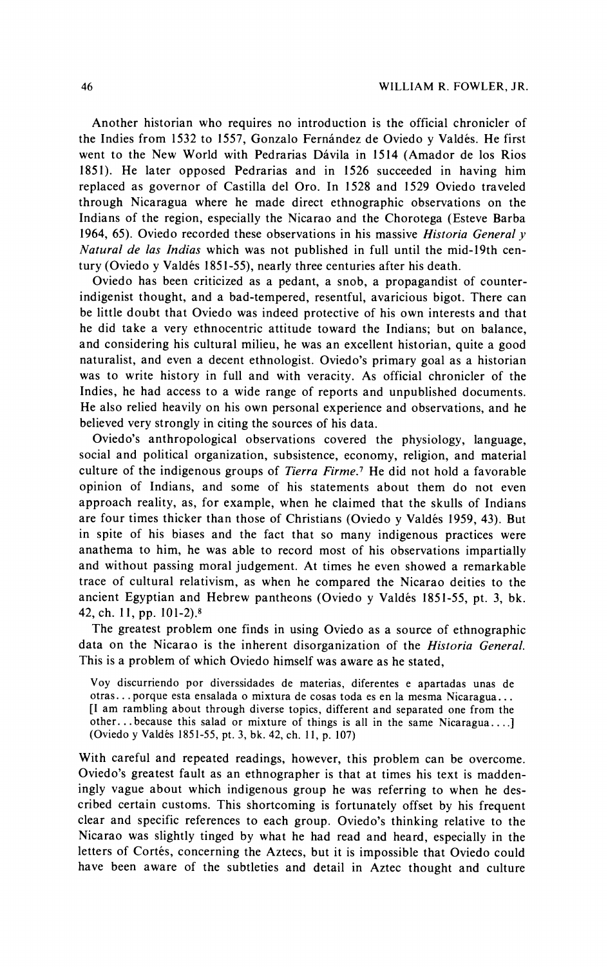Another historian who requires no introduction is the official chronicler of the Indies from 1532 to 1557, Gonzalo Fernández de Oviedo y Valdés. He first went to the New World with Pedrarias Dávila in 1514 (Amador de los Rios 1851). He later opposed Pedrarias and in 1526 succeeded in having him replaced as governor of Castilla del Oro. In 1528 and 1529 Oviedo traveled through Nicaragua where he made direct ethnographic observations on the Indians of the region, especially the Nicarao and the Chorotega (Esteve Barba 1964, 65). Oviedo recorded these observations in his massive *Historia General* y *Natural de las Indias* which was not published in full until the mid-19th century (Oviedo y Valdés 1851-55), nearly three centuries after his death.

Oviedo has been criticized as a pedant, a snob, a propagandist of counterindigenist thought, and a bad-tempered, resentful, avaricious bigot. There can be little doubt that Oviedo was indeed protective of his own interests and that he did take a very ethnocentric attitude toward the Indians; but on balance, and considering his cultural milieu, he was an excellent historian, quite a good naturalist, and even a decent ethnologist. Oviedo's primary goal as a historian was to write history in full and with veracity. As official chronicler of the Indies, he had access to a wide range of reports and unpublished documents. He also relied heavily on his own personal experience and observations, and he believed very strongly in citing the sources of his data.

Oviedo's anthropological observations covered the physiology, language, social and political organization, subsistence, economy, religion, and material culture of the indigenous groups of *Tierra Firme.'* He did not hold a favorable opinion of Indians, and some of his statements about them do not even approach reality, as, for example, when he claimed that the skulls of Indians are four times thicker than those of Christians (Oviedo y Valdés 1959, 43). But in spite of his biases and the fact that so many indigenous practices were anathema to him, he was able to record most of his observations impartially and without passing moral judgement. At times he even showed a remarkable trace of cultural relativism, as when he compared the Nicarao deities to the ancient Egyptian and Hebrew pantheons (Oviedo y Valdés 1851-55, pt. 3, bk. 42, ch. 11, pp. 101-2).\*

The greatest problem one finds in using Oviedo as a source of ethnographic data on the Nicarao is the inherent disorganization of the *Historia General.*  This is a problem of which Oviedo himself was aware as he stated,

Voy discurriendo por diverssidades de materias, diferentes e apartadas unas de otras.. .porque esta ensalada o mixtura de cosas toda es en la mesma Nicaragua.. . [I am rambling about through diverse topics, different and separated one from the other.. .because this salad or mixture of things is all in the same Nicaragua.. ..] (Oviedo y Valdés 1851-55, pt. 3, bk. 42, ch. 11, p. 107)

With careful and repeated readings, however, this problem can be overcome. Oviedo's greatest fault as an ethnographer is that at times his text is maddeningly vague about which indigenous group he was referring to when he described certain customs. This shortcoming is fortunately offset by his frequent clear and specific references to each group. Oviedo's thinking relative to the Nicarao was slightly tinged by what he had read and heard, especially in the letters of Cortés, concerning the Aztecs, but it is impossible that Oviedo could have been aware of the subtleties and detail in Aztec thought and culture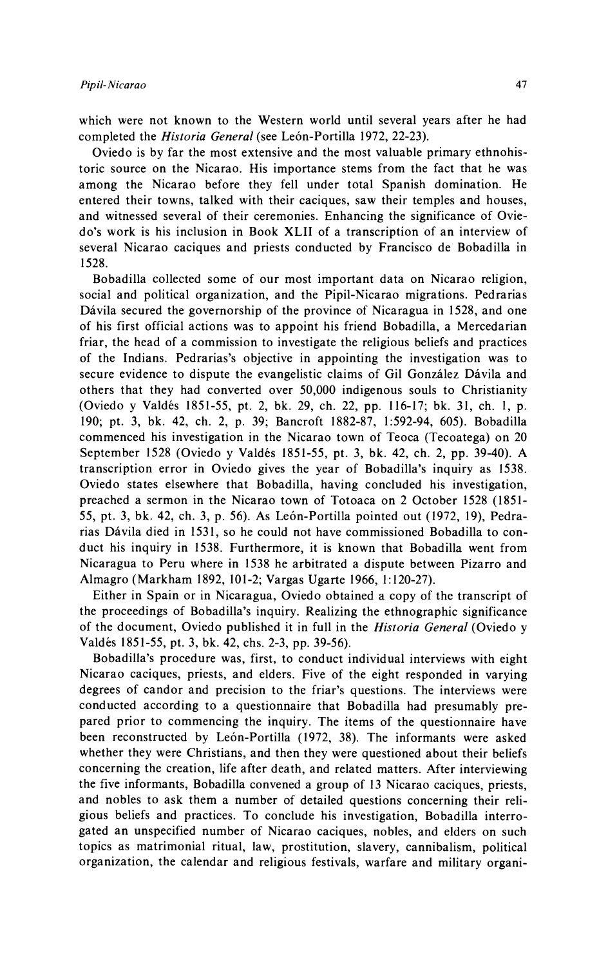which were not known to the Western world until several years after he had completed the *Historia General* (see León-Portilla 1972, 22-23).

Oviedo is by far the most extensive and the most valuable primary ethnohistoric source on the Nicarao. His importance stems from the fact that he was among the Nicarao before they fell under total Spanish domination. He entered their towns, talked with their caciques, saw their temples and houses, and witnessed several of their ceremonies. Enhancing the significance of Oviedo's work is his inclusion in Book XLII of a transcription of an interview of several Nicarao caciques and priests conducted by Francisco de Bobadilla in 1528.

Bobadilla collected some of our most important data on Nicarao religion, social and political organization, and the Pipil-Nicarao migrations. Pedrarias Dávila secured the governorship of the province of Nicaragua in 1528, and one of his first official actions was to appoint his friend Bobadilla, a Mercedarian friar, the head of a commission to investigate the religious beliefs and practices of the Indians. Pedrarias's objective in appointing the investigation was to secure evidence to dispute the evangelistic claims of Gil González Dávila and others that they had converted over 50,000 indigenous souls to Christianity (Oviedo y Valdes 1851-55, pt. 2, bk. 29, ch. 22, pp. 116-17; bk. 31, ch. 1, p. 190; pt. 3, bk. 42, ch. 2, p. 39; Bancroft 1882-87, 1:592-94, 605). Bobadilla commenced his investigation in the Nicarao town of Teoca (Tecoatega) on 20 September 1528 (Oviedo y Valdés 1851-55, pt. 3, bk. 42, ch. 2, pp. 39-40). A transcription error in Oviedo gives the year of Bobadilla's inquiry as 1538. Oviedo states elsewhere that Bobadilla, having concluded his investigation, preached a sermon in the Nicarao town of Totoaca on 2 October 1528 (1851- 55, pt. 3, bk. 42, ch. 3, p. 56). As León-Portilla pointed out (1972, 19), Pedrarias Dávila died in 1531, so he could not have commissioned Bobadilla to conduct his inquiry in 1538. Furthermore, it is known that Bobadilla went from Nicaragua to Peru where in 1538 he arbitrated a dispute between Pizarro and Almagro (Markham 1892, 101-2; Vargas Ugarte 1966, 1:120-27).

Either in Spain or in Nicaragua, Oviedo obtained a copy of the transcript of the proceedings of Bobadilla's inquiry. Realizing the ethnographic significance of the document, Oviedo published it in full in the *Hisroria General* (Oviedo y Valdes 1851-55, pt. 3, bk. 42, chs. 2-3, pp. 39-56).

Bobadilla's procedure was, first, to conduct individual interviews with eight Nicarao caciques, priests, and elders. Five of the eight responded in varying degrees of candor and precision to the friar's questions. The interviews were conducted according to a questionnaire that Bobadilla had presumably prepared prior to commencing the inquiry. The items of the questionnaire have been reconstructed by León-Portilla (1972, 38). The informants were asked whether they were Christians, and then they were questioned about their beliefs concerning the creation, life after death, and related matters. After interviewing the five informants, Bobadilla convened a group of 13 Nicarao caciques, priests, and nobles to ask them a number of detailed questions concerning their religious beliefs and practices. To conclude his investigation, Bobadilla interrogated an unspecified number of Nicarao caciques, nobles, and elders on such topics as matrimonial ritual, law, prostitution, slavery, cannibalism, political organization, the calendar and religious festivals, warfare and military organi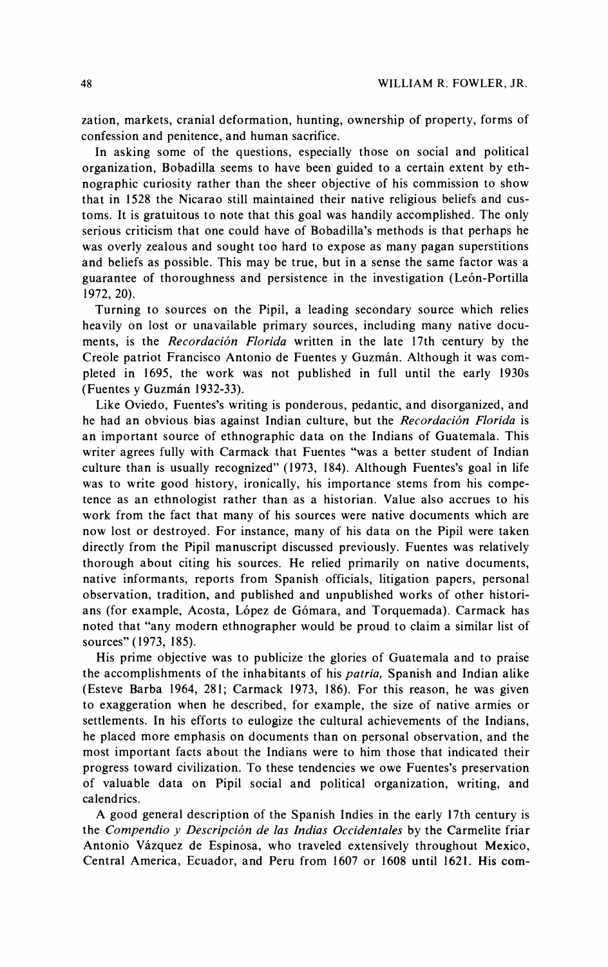zation, markets, cranial deformation, hunting, ownership of property, forms of confession and penitence, and human sacrifice.

In asking some of the questions, especially those on social and political organization, Bobadilla seems to have been guided to a certain extent by ethnographic curiosity rather than the sheer objective of his commission to show that in 1528 the Nicarao still maintained their native religious beliefs and customs. It is gratuitous to note that this goal was handily accomplished. The only serious criticism that one could have of Bobadilla's methods is that perhaps he was overly zealous and sought too hard to expose as many pagan superstitions and beliefs as possible. This may be true, but in a sense the same factor was a guarantee of thoroughness and persistence in the investigation (León-Portilla 1972, 20).

Turning to sources on the Pipil, a leading secondary source which relies heavily on lost or unavailable primary sources, including many native documents, is the *Recordacibn Florida* written in the late 17th century by the Creole patriot Francisco Antonio de Fuentes y Guzmán. Although it was completed in 1695, the work was not published in full until the early 1930s (Fuentes y Guzmán 1932-33).

Like Oviedo, Fuentes's writing is ponderous, pedantic, and disorganized, and he had an obvious bias against Indian culture, but the *Recordacibn Florida* is an important source of ethnographic data on the Indians of Guatemala. This writer agrees fully with Carmack that Fuentes "was a better student of Indian culture than is usually recognized" (1973, 184). Although Fuentes's goal in life was to write good history, ironically, his importance stems from his competence as an ethnologist rather than as a historian. Value also accrues to his work from the fact that many of his sources were native documents which are now lost or destroyed. For instance, many of his data on the Pipil were taken directly from the Pipil manuscript discussed previously. Fuentes was relatively thorough about citing his sources. He relied primarily on native documents, native informants, reports from Spanish officials, litigation papers, personal observation, tradition, and published and unpublished works of other historians (for example, Acosta, López de Gómara, and Torquemada). Carmack has noted that "any modern ethnographer would be proud to claim a similar list of sources" (1973, 185).

His prime objective was to publicize the glories of Guatemala and to praise the accomplishments of the inhabitants of his *patria,* Spanish and Indian alike (Esteve Barba 1964, 281; Carmack 1973, 186). For this reason, he was given to exaggeration when he described, for example, the size of native armies or settlements. In his efforts to eulogize the cultural achievements of the Indians, he placed more emphasis on documents than on personal observation, and the most important facts about the Indians were to him those that indicated their progress toward civilization. To these tendencies we owe Fuentes's preservation of valuable data on Pipil social and political organization, writing, and calendrics.

A good general description of the Spanish Indies in the early 17th century is the *Compendio* y *Descripcibn de las Indias Occidentales* by the Carmelite friar Antonio Vázquez de Espinosa, who traveled extensively throughout Mexico, Central America, Ecuador, and Peru from 1607 or 1608 until 1621. His com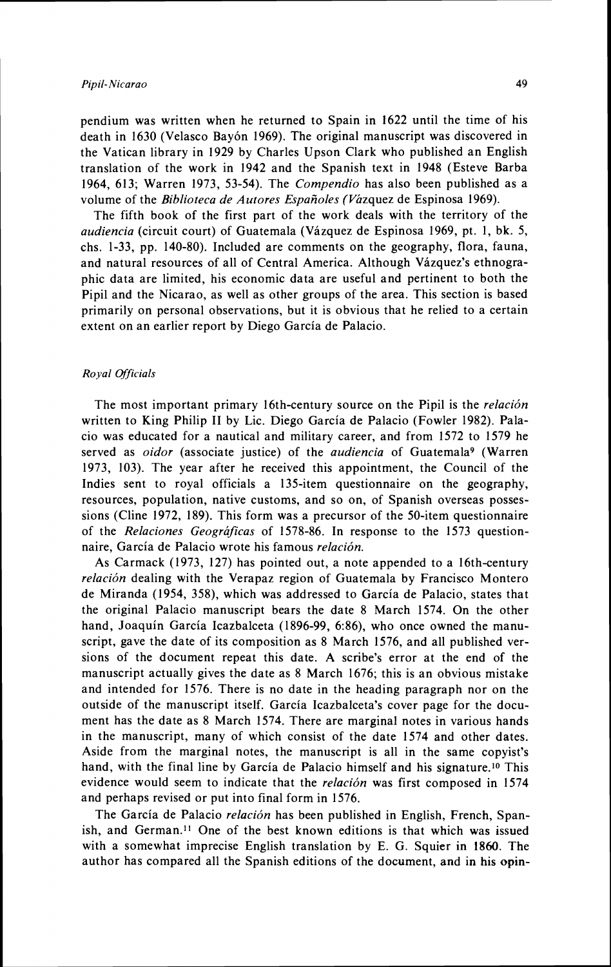pendium was written when he returned to Spain in 1622 until the time of his death in 1630 (Velasco Bay6n 1969). The original manuscript was discovered in the Vatican library in 1929 by Charles Upson Clark who published an English translation of the work in 1942 and the Spanish text in 1948 (Esteve Barba 1964, 613; Warren 1973, 53-54). The *Compendio* has also been published as a volume of the *Biblioteca de Autores Españoles (Vazquez de Espinosa 1969)*.

The fifth book of the first part of the work deals with the territory of the *audiencia* (circuit court) of Guatemala (Vazquez de Espinosa 1969, pt. 1, bk. 5, chs. 1-33, pp. 140-80). Included are comments on the geography, flora, fauna, and natural resources of all of Central America. Although Vázquez's ethnographic data are limited, his economic data are useful and pertinent to both the Pipil and the Nicarao, as well as other groups of the area. This section is based primarily on personal observations, but it is obvious that he relied to a certain extent on an earlier report by Diego Garcia de Palacio.

#### *Royal Officials*

The most important primary 16th-century source on the Pipil is the *relacibn*  written to King Philip I1 by Lic. Diego Garcia de Palacio (Fowler 1982). Palacio was educated for a nautical and military career, and from 1572 to 1579 he served as *oidor* (associate justice) of the *audiencia* of Guatemala9 (Warren 1973, 103). The year after he received this appointment, the Council of the Indies sent to royal officials a 135-item questionnaire on the geography, resources, population, native customs, and so on, of Spanish overseas possessions (Cline 1972, 189). This form was a precursor of the 50-item questionnaire of the *Relaciones Geograficas* of 1578-86. In response to the 1573 questionnaire, Garcia de Palacio wrote his famous *relacibn.* 

As Carmack (1973, 127) has pointed out, a note appended to a 16th-century *relacibn* dealing with the Verapaz region of Guatemala by Francisco Montero de Miranda (1954, 358), which was addressed to Garcia de Palacio, states that the original Palacio manuscript bears the date 8 March 1574. On the other hand, Joaquin Garcia Icazbalceta (1896-99, 6:86), who once owned the manuscript, gave the date of its composition as 8 March 1576, and all published versions of the document repeat this date. **A** scribe's error at the end of the manuscript actually gives the date as 8 March 1676; this is an obvious mistake and intended for 1576. There is no date in the heading paragraph nor on the outside of the manuscript itself. Garcia Icazbalceta's cover page for the document has the date as 8 March 1574. There are marginal notes in various hands in the manuscript, many of which consist of the date 1574 and other dates. Aside from the marginal notes, the manuscript is all in the same copyist's hand, with the final line by Garcia de Palacio himself and his signature.10 This evidence would seem to indicate that the *relación* was first composed in 1574 and perhaps revised or put into final form in 1576.

The Garcia de Palacio *relacibn* has been published in English, French, Spanish, and German.<sup>11</sup> One of the best known editions is that which was issued with a somewhat imprecise English translation by E. G. Squier in 1860. The author has compared all the Spanish editions of the document, and in his opin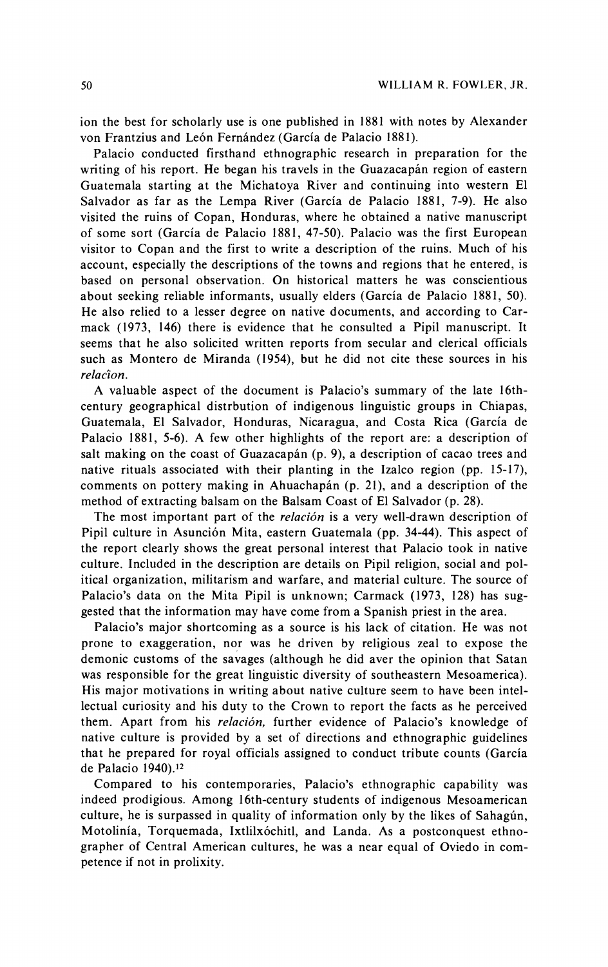ion the best for scholarly use is one published in 1881 with notes by Alexander von Frantzius and León Fernández (García de Palacio 1881).

Palacio conducted firsthand ethnographic research in preparation for the writing of his report. He began his travels in the Guazacapán region of eastern Guatemala starting at the Michatoya River and continuing into western El Salvador as far as the Lempa River (Garcia de Palacio 1881, 7-9). He also visited the ruins of Copan, Honduras, where he obtained a native manuscript of some sort (Garcia de Palacio 1881, 47-50). Palacio was the first European visitor to Copan and the first to write a description of the ruins. Much of his account, especially the descriptions of the towns and regions that he entered, is based on personal observation. On historical matters he was conscientious about seeking reliable informants, usually elders (Garcia de Palacio 1881, 50). He also relied to a lesser degree on native documents, and according to Carmack (1973, 146) there is evidence that he consulted a Pipil manuscript. It seems that he also solicited written reports from secular and clerical officials such as Montero de Miranda (1954), but he did not cite these sources in his  $relacion.$ 

A valuable aspect of the document is Palacio's summary of the late 16thcentury geographical distrbution of indigenous linguistic groups in Chiapas, Guatemala, El Salvador, Honduras, Nicaragua, and Costa Rica (Garcia de Palacio 1881, 5-6). A few other highlights of the report are: a description of salt making on the coast of Guazacapán (p. 9), a description of cacao trees and native rituals associated with their planting in the Izalco region (pp. 15-17), comments on pottery making in Ahuachapán (p. 21), and a description of the method of extracting balsam on the Balsam Coast of El Salvador (p. 28).

The most important part of the *relación* is a very well-drawn description of Pipil culture in Asunción Mita, eastern Guatemala (pp. 34-44). This aspect of the report clearly shows the great personal interest that Palacio took in native culture. Included in the description are details on Pipil religion, social and political organization, militarism and warfare, and material culture. The source of Palacio's data on the Mita Pipil is unknown; Carmack (1973, 128) has suggested that the information may have come from a Spanish priest in the area.

Palacio's major shortcoming as a source is his lack of citation. He was not prone to exaggeration, nor was he driven by religious zeal to expose the demonic customs of the savages (although he did aver the opinion that Satan was responsible for the great linguistic diversity of southeastern Mesoamerica). His major motivations in writing about native culture seem to have been intellectual curiosity and his duty to the Crown to report the facts as he perceived them. Apart from his *relación*, further evidence of Palacio's knowledge of native culture is provided by a set of directions and ethnographic guidelines that he prepared for royal officials assigned to conduct tribute counts (Garcia de Palacio 1940).12

Compared to his contemporaries, Palacio's ethnographic capability was indeed prodigious. Among 16th-century students of indigenous Mesoamerican culture, he is surpassed in quality of information only by the likes of Sahagún, Motolinía, Torquemada, Ixtlilxóchitl, and Landa. As a postconquest ethnographer of Central American cultures, he was a near equal of Oviedo in competence if not in prolixity.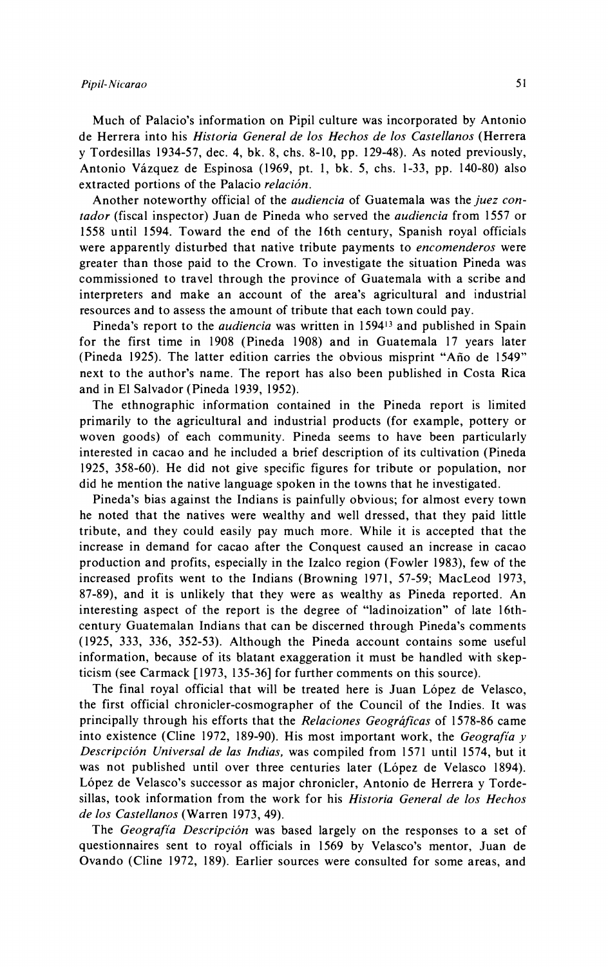#### *Pipil-Nicarao 5 1*

Much of Palacio's information on Pipil culture was incorporated by Antonio de Herrera into his *Historia General de 10s Hechos de 10s Castellanos* (Herrera y Tordesillas 1934-57, dec. 4, bk. 8, chs. 8-10, pp. 129-48). As noted previously, Antonio Vazquez de Espinosa (1969, pt. 1, bk. 5, chs. 1-33, pp. 140-80) also extracted portions of the Palacio *relacibn.* 

Another noteworthy official of the *audiencia* of Guatemala was the *juez contador* (fiscal inspector) Juan de Pineda who served the *audiencia* from 1557 or 1558 until 1594. Toward the end of the 16th century, Spanish royal officials were apparently disturbed that native tribute payments to *encomenderos* were greater than those paid to the Crown. To investigate the situation Pineda was commissioned to travel through the province of Guatemala with a scribe and interpreters and make an account of the area's agricultural and industrial resources and to assess the amount of tribute that each town could pay.

Pineda's report to the *audiencia* was written in 159413 and published in Spain for the first time in 1908 (Pineda 1908) and in Guatemala 17 years later (Pineda 1925). The latter edition carries the obvious misprint "Año de 1549" next to the author's name. The report has also been published in Costa Rica and in El Salvador (Pineda 1939, 1952).

The ethnographic information contained in the Pineda report is limited primarily to the agricultural and industrial products (for example, pottery or woven goods) of each community. Pineda seems to have been particularly interested in cacao and he included a brief description of its cultivation (Pineda 1925, 358-60). He did not give specific figures for tribute or population, nor did he mention the native language spoken in the towns that he investigated.

Pineda's bias against the Indians is painfully obvious; for almost every town he noted that the natives were wealthy and well dressed, that they paid little tribute, and they could easily pay much more. While it is accepted that the increase in demand for cacao after the Conquest caused an increase in cacao production and profits, especially in the Izalco region (Fowler 1983), few of the increased profits went to the Indians (Browning 1971, 57-59; MacLeod 1973, 87-89), and it is unlikely that they were as wealthy as Pineda reported. An interesting aspect of the report is the degree of "ladinoization" of late 16thcentury Guatemalan Indians that can be discerned through Pineda's comments (1925, 333, 336, 352-53). Although the Pineda account contains some useful information, because of its blatant exaggeration it must be handled with skepticism (see Carmack [1973, 135-361 for further comments on this source).

The final royal official that will be treated here is Juan Lopez de Velasco, the first official chronicler-cosmographer of the Council of the Indies. It was principally through his efforts that the *Relaciones Geogrilficas* of 1578-86 came into existence (Cline 1972, 189-90). His most important work, the *Geografía* y *Descripcibn Universal de las Indias,* was compiled from 1571 until 1574, but it was not published until over three centuries later (López de Velasco 1894). Lopez de Velasco's successor as major chronicler, Antonio de Herrera y Tordesillas, took information from the work for his *Historia General de 10s Hechos de 10s Castellanos* (Warren 1973, 49).

The *Geografia Descripcibn* was based largely on the responses to a set of questionnaires sent to royal officials in 1569 by Velasco's mentor, Juan de Ovando (Cline 1972, 189). Earlier sources were consulted for some areas, and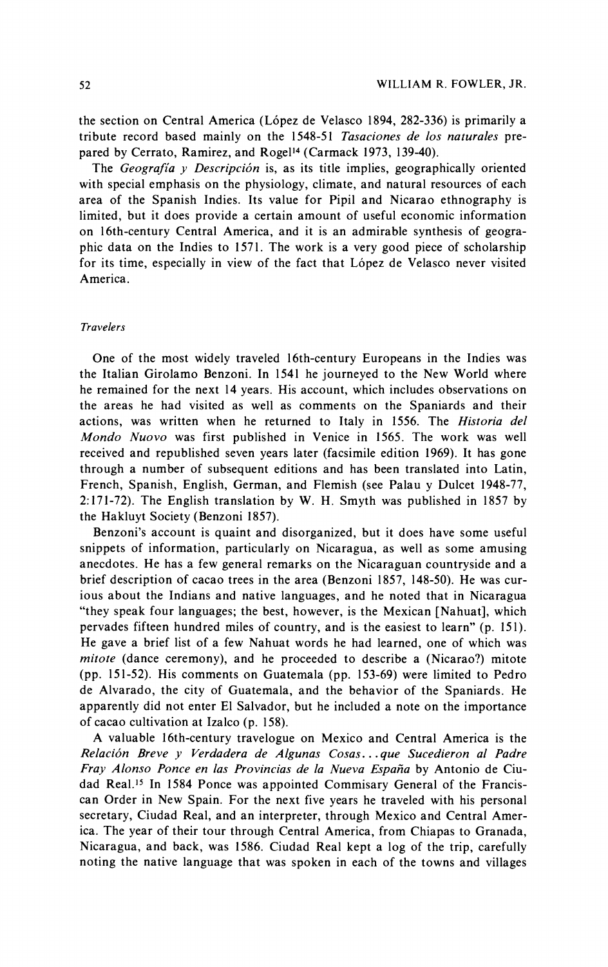the section on Central America (López de Velasco 1894, 282-336) is primarily a tribute record based mainly on the 1548-51 *Tasaciones de 10s narurales* prepared by Cerrato, Ramirez, and Rogell4 (Carmack 1973, 139-40).

The *Geografia* y *Descripcibn* is, as its title implies, geographically oriented with special emphasis on the physiology, climate, and natural resources of each area of the Spanish Indies. Its value for Pipil and Nicarao ethnography is limited, but it does provide a certain amount of useful economic information on 16th-century Central America, and it is an admirable synthesis of geographic data on the Indies to 1571. The work is a very good piece of scholarship for its time, especially in view of the fact that López de Velasco never visited America.

#### *Travelers*

One of the most widely traveled 16th-century Europeans in the Indies was the Italian Girolamo Benzoni. In 1541 he journeyed to the New World where he remained for the next 14 years. His account, which includes observations on the areas he had visited as well as comments on the Spaniards and their actions, was written when he returned to Italy in 1556. The *Historia del Mondo Nuovo* was first published in Venice in 1565. The work was well received and republished seven years later (facsimile edition 1969). It has gone through a number of subsequent editions and has been translated into Latin, French, Spanish, English, German, and Flemish (see Palau y Dulcet 1948-77, 2:171-72). The English translation by W. H. Smyth was published in 1857 by the Hakluyt Society (Benzoni 1857).

Benzoni's account is quaint and disorganized, but it does have some useful snippets of information, particularly on Nicaragua, as well as some amusing anecdotes. He has a few general remarks on the Nicaraguan countryside and a brief description of cacao trees in the area (Benzoni 1857, 148-50). He was curious about the Indians and native languages, and he noted that in Nicaragua "they speak four languages; the best, however, is the Mexican [Nahuat], which pervades fifteen hundred miles of country, and is the easiest to learn" (p. 151). He gave a brief list of a few Nahuat words he had learned, one of which was *mirote* (dance ceremony), and he proceeded to describe a (Nicarao?) mitote (pp. 151-52). His comments on Guatemala (pp. 153-69) were limited to Pedro de Alvarado, the city of Guatemala, and the behavior of the Spaniards. He apparently did not enter El Salvador, but he included a note on the importance of cacao cultivation at Izalco (p. 158).

A valuable 16th-century travelogue on Mexico and Central America is the *Relacibn Breve y Verdadera de Algunas Cosas.* . .*que Sucedieron a1 Padre Fray Alonso Ponce en las Provincias de la Nueva Espafia* by Antonio de Ciudad Real.15 In 1584 Ponce was appointed Commisary General of the Franciscan Order in New Spain. For the next five years he traveled with his personal secretary, Ciudad Real, and an interpreter, through Mexico and Central America. The year of their tour through Central America, from Chiapas to Granada, Nicaragua, and back, was 1586. Ciudad Real kept a log of the trip, carefully noting the native language that was spoken in each of the towns and villages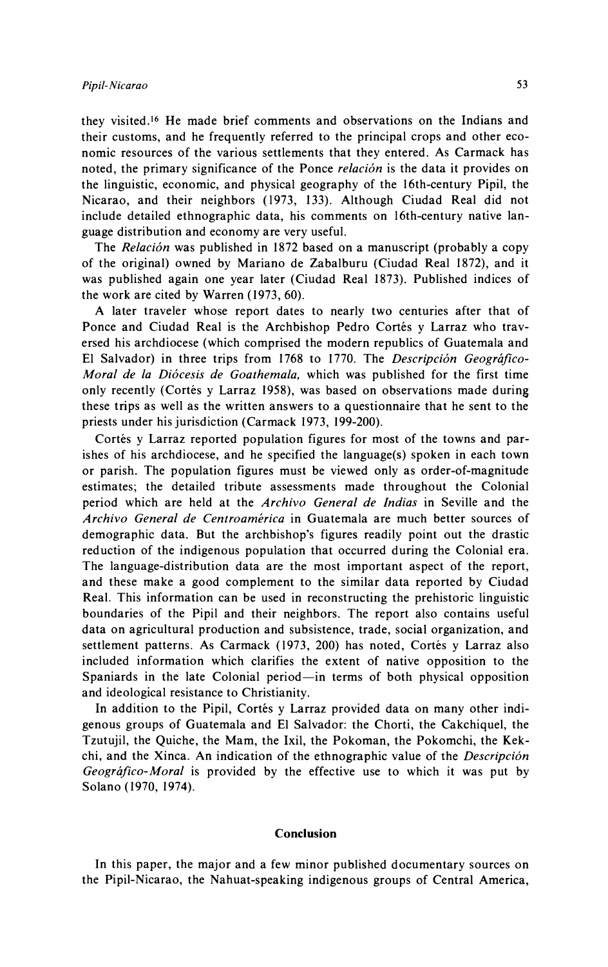they visited.16 He made brief comments and observations on the Indians and their customs, and he frequently referred to the principal crops and other economic resources of the various settlements that they entered. As Carmack has noted, the primary significance of the Ponce *relacibn* is the data it provides on the linguistic, economic, and physical geography of the 16th-century Pipil, the Nicarao, and their neighbors (1973, 133). Although Ciudad Real did not include detailed ethnographic data, his comments on 16th-century native language distribution and economy are very useful.

The *Relacion* was published in 1872 based on a manuscript (probably a copy of the original) owned by Mariano de Zabalburu (Ciudad Real 1872), and it was published again one year later (Ciudad Real 1873). Published indices of the work are cited by Warren (1973, 60).

A later traveler whose report dates to nearly two centuries after that of Ponce and Ciudad Real is the Archbishop Pedro Cortés y Larraz who traversed his archdiocese (which comprised the modern republics of Guatemala and El Salvador) in three trips from 1768 to 1770. The *Descripcibn Geografico-Moral de la Dibcesis de Goathemala,* which was published for the first time only recently (Cortés y Larraz 1958), was based on observations made during these trips as well as the written answers to a questionnaire that he sent to the priests under his jurisdiction (Carmack 1973, 199-200).

Cortés y Larraz reported population figures for most of the towns and parishes of his archdiocese, and he specified the language(s) spoken in each town or parish. The population figures must be viewed only as order-of-magnitude estimates; the detailed tribute assessments made throughout the Colonial period which are held at the *Archivo General de Indias* in Seville and the *Archivo General de Centroamérica* in Guatemala are much better sources of demographic data. But the archbishop's figures readily point out the drastic reduction of the indigenous population that occurred during the Colonial era. The language-distribution data are the most important aspect of the report, and these make a good complement to the similar data reported by Ciudad Real. This information can be used in reconstructing the prehistoric linguistic boundaries of the Pipil and their neighbors. The report also contains useful data on agricultural production and subsistence, trade, social organization, and settlement patterns. As Carmack (1973, 200) has noted, Cortés y Larraz also included information which clarifies the extent of native opposition to the Spaniards in the late Colonial period-in terms of both physical opposition and ideological resistance to Christianity.

In addition to the Pipil, Cortés y Larraz provided data on many other indigenous groups of Guatemala and El Salvador: the Chorti, the Cakchiquel, the Tzutujil, the Quiche, the Mam, the Ixil, the Pokoman, the Pokomchi, the Kekchi, and the Xinca. An indication of the ethnographic value of the *Descripcion*  Geográfico-Moral is provided by the effective use to which it was put by Solano (1970, 1974).

#### **Conclusion**

In this paper, the major and a few minor published documentary sources on the Pipil-Nicarao, the Nahuat-speaking indigenous groups of Central America,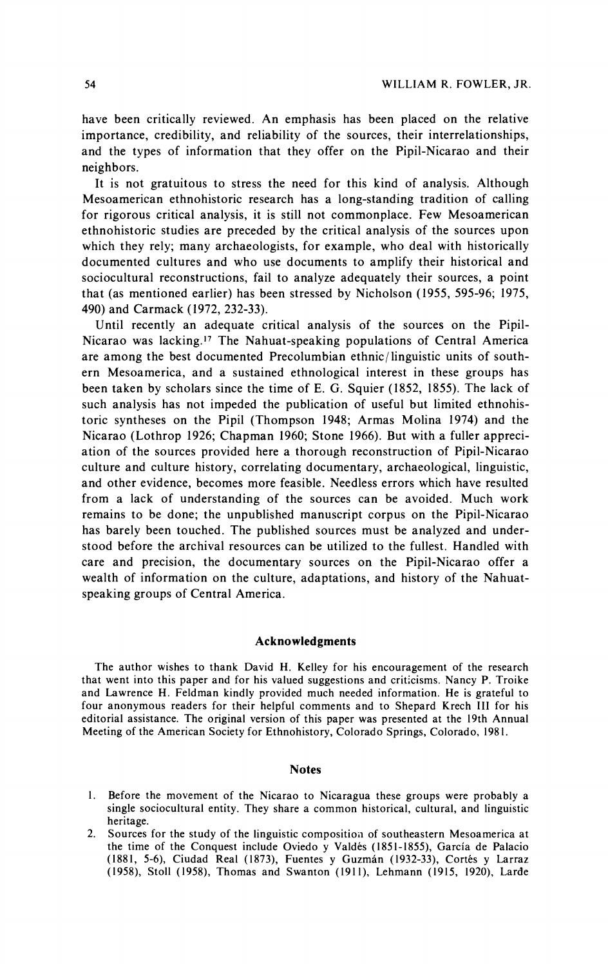have been critically reviewed. An emphasis has been placed on the relative importance, credibility, and reliability of the sources, their interrelationships, and the types of information that they offer on the Pipil-Nicarao and their neighbors.

It is not gratuitous to stress the need for this kind of analysis. Although Mesoamerican ethnohistoric research has a long-standing tradition of calling for rigorous critical analysis, it is still not commonplace. Few Mesoamerican ethnohistoric studies are preceded by the critical analysis of the sources upon which they rely; many archaeologists, for example, who deal with historically documented cultures and who use documents to amplify their historical and sociocultural reconstructions, fail to analyze adequately their sources, a point that (as mentioned earlier) has been stressed by Nicholson (1955, 595-96; 1975, 490) and Carmack (1972, 232-33).

Until recently an adequate critical analysis of the sources on the Pipil-Nicarao was lacking.17 The Nahuat-speaking populations of Central America are among the best documented Precolumbian ethnic/linguistic units of southern Mesoamerica, and a sustained ethnological interest in these groups has been taken by scholars since the time of E. G. Squier (1852, 1855). The lack of such analysis has not impeded the publication of useful but limited ethnohistoric syntheses on the Pipil (Thompson 1948; Armas Molina 1974) and the Nicarao (Lothrop 1926; Chapman 1960; Stone 1966). But with a fuller appreciation of the sources provided here a thorough reconstruction of Pipil-Nicarao culture and culture history, correlating documentary, archaeological, linguistic, and other evidence, becomes more feasible. Needless errors which have resulted from a lack of understanding of the sources can be avoided. Much work remains to be done; the unpublished manuscript corpus on the Pipil-Nicarao has barely been touched. The published sources must be analyzed and understood before the archival resources can be utilized to the fullest. Handled with care and precision, the documentary sources on the Pipil-Nicarao offer a wealth of information on the culture, adaptations, and history of the Nahuatspeaking groups of Central America.

#### **Acknowledgments**

The author wishes to thank David H. Kelley for his encouragement of the research that went into this paper and for his valued suggestions and criticisms. Nancy P. Troike and Lawrence H. Feldman kindly provided much needed information. He is grateful to four anonymous readers for their helpful comments and to Shepard Krech 111 for his editorial assistance. The original version of this paper was presented at the 19th Annual Meeting of the American Society for Ethnohistory, Colorado Springs, Colorado, 1981.

#### **Notes**

- 1. Before the movement of the Nicarao to Nicaragua these groups were probably a single sociocultural entity. They share a common historical, cultural, and linguistic heritage.
- 2. Sources for the study of the linguistic composition of southeastern Mesoamerica at the time of the Conquest include Oviedo y Valdes (1851-1855), Garcia de Palacio (1881, 5-6), Ciudad Real (1873), Fuentes y Guzman (1932-33), Cortes y Larraz (1958), Stoll (1958), Thomas and Swanton (1911), Lehmann (1915, 1920), Larde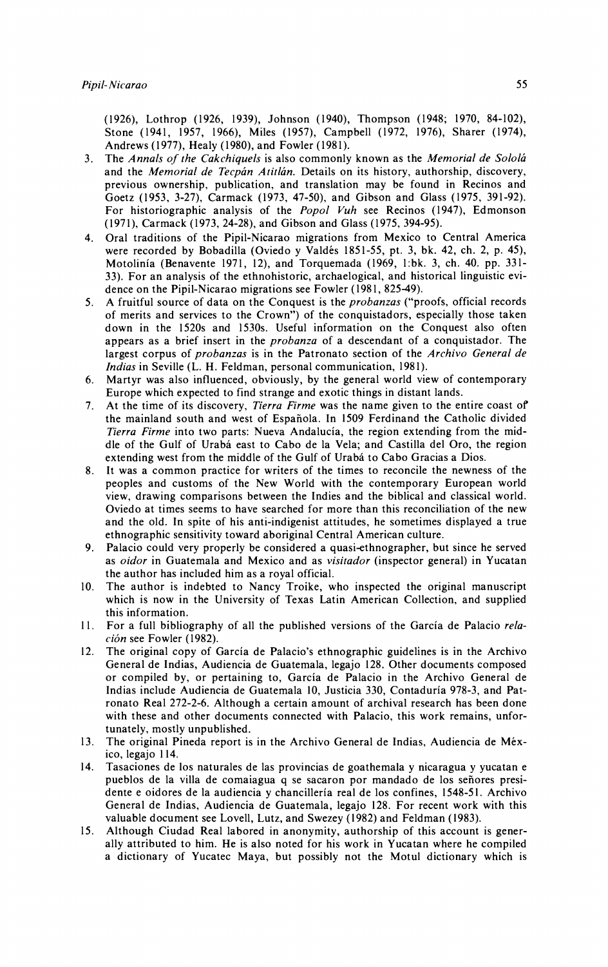(1926), Lothrop (1926, 1939), Johnson (1940), Thompson (1948; 1970, 84-102), Stone (1941, 1957, 1966), Miles (1957), Campbell (1972, 1976), Sharer (1974), Andrews (1977), Healy (1980), and Fowler (1981).

- The *Annals of the Cakchiquels* is also commonly known as the *Memorial de Solola*  and the *Memorial de Tecpan Atitlan*. Details on its history, authorship, discovery, previous ownership, publication, and translation may be found in Recinos and Goetz (1953, 3-27), Carmack (1973, 47-50), and Gibson and Glass (1975, 391-92). For historiographic analysis of the *Popol Vuh* see Recinos (1947), Edmonson (1971), Carmack (1973, 24-28), and Gibson and Glass (1975, 394-95).
- Oral traditions of the Pipil-Nicarao migrations from Mexico to Central America were recorded by Bobadilla (Oviedo y Valdes 1851-55, pt. 3, bk. 42, ch. 2, p. 45), Motolinia (Benavente 1971, 12), and Torquemada (1969, I:bk. 3, ch. 40. pp. 331- 33). For an analysis of the ethnohistoric, archaelogical, and historical linguistic evidence on the Pipil-Nicarao migrations see Fowler (1981, 825-49).
- A fruitful source of data on the Conquest is the *probanzas* ("proofs, official records of merits and services to the Crown") of the conquistadors, especially those taken down in the 1520s and 1530s. Useful information on the Conquest also often appears as a brief insert in the *probanza* of a descendant of a conquistador. The largest corpus of *probanzas* is in the Patronato section of the *Archivo General de Indias* in Seville (L. H. Feldman, personal communication, 1981).
- Martyr was also influenced, obviously, by the general world view of contemporary Europe which expected to find strange and exotic things in distant lands.
- At the time of its discovery, *Tierra Firme* was the name given to the entire coast of the mainland south and west of Española. In 1509 Ferdinand the Catholic divided *Tierra Firme* into two parts: Nueva Andalucia, the region extending from the middle of the Gulf of Uraba east to Cabo de la Vela; and Castilla del Oro, the region extending west from the middle of the Gulf of Urabá to Cabo Gracias a Dios.
- It was a common practice for writers of the times to reconcile the newness of the peoples and customs of the New World with the contemporary European world view, drawing comparisons between the Indies and the biblical and classical world. Oviedo at times seems to have searched for more than this reconciliation of the new and the old. In spite of his anti-indigenist attitudes, he sometimes displayed a true ethnographic sensitivity toward aboriginal Central American culture.
- Palacio could very properly be considered a quasiethnographer, but since he served as *oidor* in Guatemala and Mexico and as *visirador* (inspector general) in Yucatan the author has included him as a royal official.
- 10. The author is indebted to Nancy Troike, who inspected the original manuscript which is now in the University of Texas Latin American Collection, and supplied this information.
- $11.$ For a full bibliography of all the published versions of the Garcia de Palacio *relaci6n* see Fowler (1982).
- The original copy of Garcia de Palacio's ethnographic guidelines is in the Archivo  $12.$ General de Indias, Audiencia de Guatemala, legajo 128. Other documents composed or compiled by, or pertaining to, Garcia de Palacio in the Archivo General de Indias include Audiencia de Guatemala 10, Justicia 330, Contaduria 978-3, and Patronato Real 272-2-6. Although a certain amount of archival research has been done with these and other documents connected with Palacio, this work remains, unfortunately, mostly unpublished.
- 13. The original Pineda report is in the Archivo General de Indias, Audiencia de México, legajo 114.
- $14.$ Tasaciones de los naturales de las provincias de goathemala y nicaragua y yucatan e pueblos de la villa de comaiagua q se sacaron por mandado de los señores presidente e oidores de la audiencia y chancilleria real de 10s confines, 1548-51. Archivo General de Indias, Audiencia de Guatemala, legajo 128. For recent work with this valuable document see Lovell, Lutz, and Swezey (1982) and Feldman (1983).
- Although Ciudad Real labored in anonymity, authorship of this account is generally attributed to him. He is also noted for his work in Yucatan where he compiled a dictionary of Yucatec Maya, but possibly not the Motul dictionary which is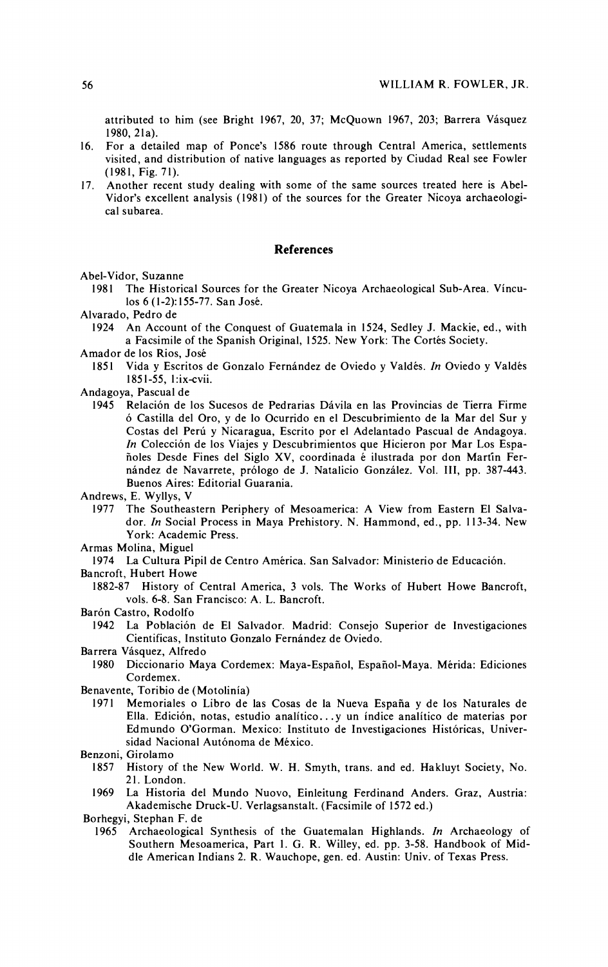attributed to him (see Bright 1967, 20, 37; McQuown 1967, 203; Barrera Vasquez 1980, 21a).

- 16. For a detailed map of Ponce's 1586 route through Central America, settlements visited, and distribution of native languages as reported by Ciudad Real see Fowler (1981, Fig. 71).
- 17. Another recent study dealing with some of the same sources treated here is Abel-Vidor's excellent analysis (1981) of the sources for the Greater Nicoya archaeological subarea.

#### **References**

Abel-Vidor, Suzanne

The Historical Sources for the Greater Nicoya Archaeological Sub-Area. Vincu-10s 6 (1-2):155-77. San Jose.

Alvarado, Pedro de

An Account of the Conquest of Guatemala in 1524, Sedley J. Mackie, ed., with a Facsimile of the Spanish Original, 1525. New York: The Cortés Society.

Amador de los Rios, José<br>1851 Vida y Escritos

- Vida y Escritos de Gonzalo Fernández de Oviedo y Valdés. *In Oviedo y Valdés* 1851-55, I:ix-cvii.
- Andagoya, Pascual de
	- Relación de los Sucesos de Pedrarias Dávila en las Provincias de Tierra Firme 6 Castilla del Oro, y de lo Ocurrido en el Descubrimiento de la Mar del Sur y Costas del Perú y Nicaragua, Escrito por el Adelantado Pascual de Andagoya. **In** Coleccion de 10s Viajes y Descubrimientos que Hicieron por Mar Los Españoles Desde Fines del Siglo XV, coordinada é ilustrada por don Martín Fernández de Navarrete, prólogo de J. Natalicio González. Vol. III, pp. 387-443. Buenos Aires: Editorial Guarania.

Andrews, E. Wyllys, V

- 1977 The Southeastern Periphery of Mesoamerica: A View from Eastern El Salvador. **In** Social Process in Maya Prehistory. N. Hammond, ed., pp. 113-34. New York: Academic Press.
- Armas Molina, Miguel
- 1974 La Cultura Pipil de Centro America. San Salvador: Ministerio de Educacion.
- Bancroft, Hubert Howe
	- 1882-87 History of Central America, 3 vols. The Works of Hubert Howe Bancroft, vols. 6-8. San Francisco: A. L. Bancroft.
- Barón Castro, Rodolfo
	- 1942 La Poblacion de El Salvador. Madrid: Consejo Superior de Investigaciones Cientificas, Instituto Gonzalo Fernández de Oviedo.
- Barrera Vásquez, Alfredo
	- 1980 Diccionario Maya Cordemex: Maya-Espafiol, Espafiol-Maya. Merida: Ediciones Cordemex.
- Benavente, Toribio de (Motolinía)<br>1971 Memoriales o Libro de
	- Memoriales o Libro de las Cosas de la Nueva España y de los Naturales de Ella. Edicion, notas, estudio analitico. . .y un indice analitico de materias por Edmundo O'Gorman. Mexico: Instituto de Investigaciones Historicas, Universidad Nacional Autónoma de México.

Benzoni, Girolamo

- 1857 History of the New World. W. H. Smyth, trans, and ed. Hakluyt Society, No. 21. London.
- 1969 La Historia del Mundo Nuovo, Einleitung Ferdinand Anders. Graz, Austria: Akademische Druck-U. Verlagsanstalt. (Facsimile of 1572 ed.)

Borhegyi, Stephan F. de

1965 Archaeological Synthesis of the Guatemalan Highlands. **In** Archaeology of Southern Mesoamerica, Part 1. G. R. Willey, ed. pp. 3-58. Handbook of Middle American Indians 2. R. Wauchope, gen. ed. Austin: Univ. of Texas Press.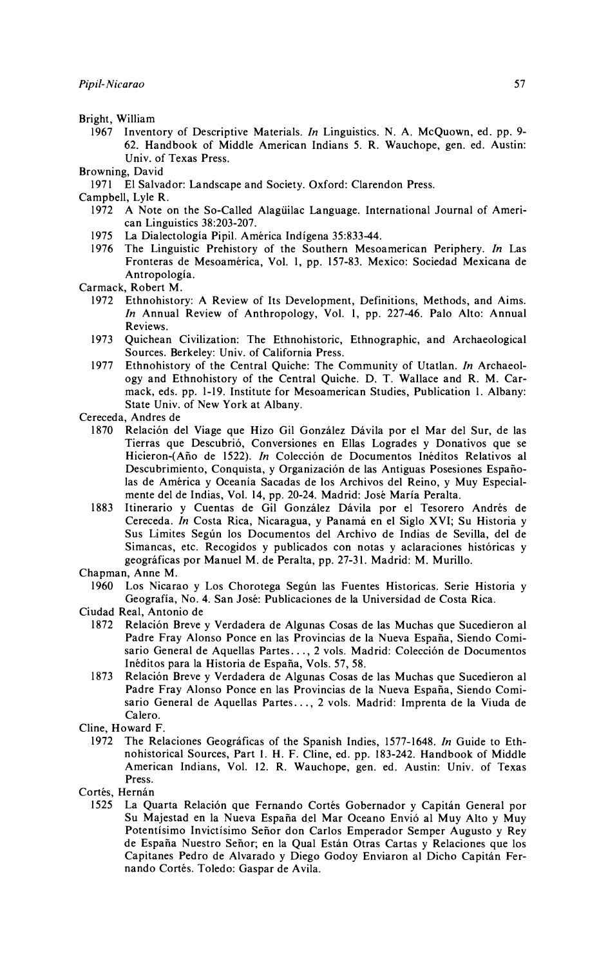- Bright, William
	- 1967 Inventory of Descriptive Materials. **In** Linguistics. N. A. McQuown, ed. pp. 9- 62. Handbook of Middle American Indians 5. R. Wauchope, gen. ed. Austin: Univ. of Texas Press.
- Browning, David
- 1971 El Salvador: Landscape and Society. Oxford: Clarendon Press.

Campbell, Lyle R.

- 1972 A Note on the So-Called Alagiiilac Language. International Journal of American Linguistics 38:203-207.
- 1975 La Dialectologia Pipil. America Indigena 35:833-44.
- 1976 The Linguistic Prehistory of the Southern Mesoamerican Periphery. **In** Las Fronteras de Mesoamerica, Vol. I, pp. 157-83. Mexico: Sociedad Mexicana de Antropologia.

Carmack, Robert M.

- 1972 Ethnohistory: A Review of Its Development, Definitions, Methods, and Aims. **In** Annual Review of Anthropology, Vol. 1, pp. 227-46. Palo Alto: Annual Reviews.
- 1973 Quichean Civilization: The Ethnohistoric, Ethnographic, and Archaeological Sources. Berkeley: Univ. of California Press.
- 1977 Ethnohistory of the Central Quiche: The Community of Utatlan. **In** Archaeology and Ethnohistory of the Central Quiche. D. T. Wallace and R. M. Carmack, eds. pp. 1-19. Institute for Mesoamerican Studies, Publication l. Albany: State Univ. of New York at Albany.
- Cereceda, Andres de
	- 1870 Relación del Viage que Hizo Gil González Dávila por el Mar del Sur, de las Tierras que Descubrio, Conversiones en Ellas Logrades y Donativos que se Hicieron-(Año de 1522). *In* Colección de Documentos Inéditos Relativos al Descubrimiento, Conquista, y Organizacion de las Antiguas Posesiones Espafiolas de America y Oceania Sacadas de 10s Archivos del Reino, y Muy Especialmente del de Indias, Vol. 14, pp. 20-24. Madrid: Jose Maria Peralta.
	- 1883 Itinerario y Cuentas de Gil González Dávila por el Tesorero Andrés de Cereceda. **In** Costa Rica, Nicaragua, y Panama en el Siglo XVI; Su Historia y Sus Limites Según los Documentos del Archivo de Indias de Sevilla, del de Simancas, etc. Recogidos y publicados con notas y aclaraciones historicas y geograficas por Manuel M, de Peralta, pp. 27-31. Madrid: M. Murillo.

Chapman, Anne M.

- 1960 Los Nicarao y Los Chorotega Según las Fuentes Historicas. Serie Historia y Geografia, No. 4. San Jose: Publicaciones de la Universidad de Costa Rica.
- Ciudad Real, Antonio de
	- 1872 Relación Breve y Verdadera de Algunas Cosas de las Muchas que Sucedieron al Padre Fray Alonso Ponce en las Provincias de la Nueva Espafia, Siendo Comisario General de Aquellas Partes..., 2 vols. Madrid: Colección de Documentos Ineditos para la Historia de Espafia, Vols. 57, 58.
	- 1873 Relacion Breve y Verdadera de Algunas Cosas de las Muchas que Sucedieron a1 Padre Fray Alonso Ponce en las Provincias de la Nueva Espafia, Siendo Comisario General de Aquellas Partes.. ., 2 vols. Madrid: Imprenta de la Viuda de Calero.
- Cline, Howard F.
	- The Relaciones Geográficas of the Spanish Indies, 1577-1648. In Guide to Ethnohistorical Sources, Part 1. H. F. Cline, ed. pp. 183-242. Handbook of Middle American Indians, Vol. 12. R. Wauchope, gen, ed. Austin: Univ. of Texas Press.
- Cortés, Hernán
	- 1525 La Quarta Relacion que Fernando Cortes Gobernador y Capitan General por Su Majestad en la Nueva España del Mar Oceano Envió al Muy Alto y Muy Potentisimo Invictisimo Sefior don Carlos Emperador Semper Augusto y Rey de España Nuestro Señor; en la Qual Están Otras Cartas y Relaciones que los Capitanes Pedro de Alvarado y Diego Godoy Enviaron a1 Dicho Capitan Fernando Cortés. Toledo: Gaspar de Avila.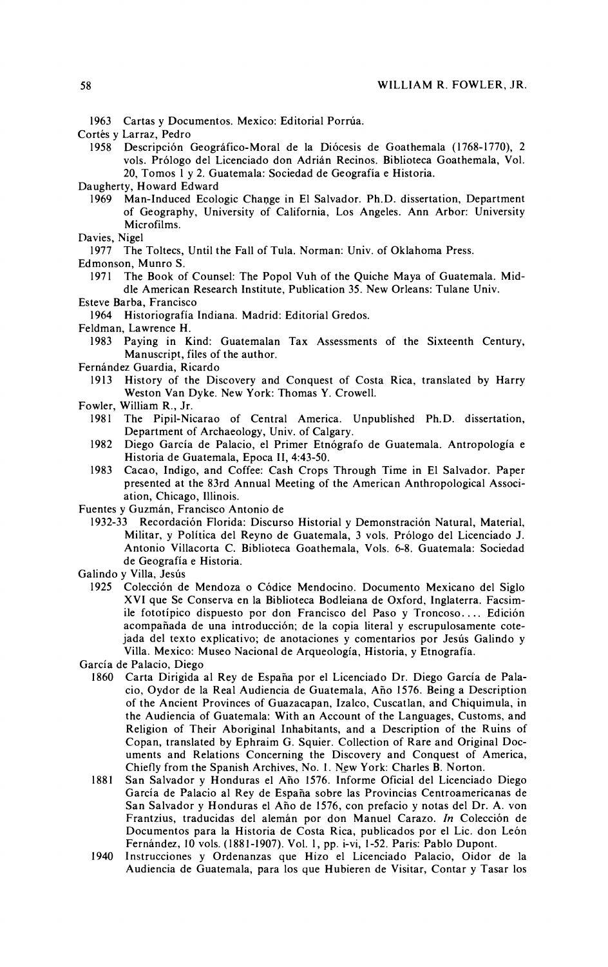1963 Cartas y Documentos. Mexico: Editorial Porrúa.

- Cortés y Larraz, Pedro
	- 1958 Descripcion Geografico-Moral de la Diocesis de Goathemala (1768-1770), 2 vols. Prólogo del Licenciado don Adrián Recinos. Biblioteca Goathemala, Vol. 20, Tomos 1 y 2. Guatemala: Sociedad de Geografia e Historia.

Daugherty, Howard Edward

- 1969 Man-Induced Ecologic Chaqge in El Salvador. Ph.D. dissertation, Department of Geography, University of California, Los Angeles. Ann Arbor: University Microfilms.
- Davies, Nigel

1977 The Toltecs, Until the Fall of Tula. Norman: Univ. of Oklahoma Press.

Edmonson, Munro S.

1971 The Book of Counsel: The Popol Vuh of the Quiche Maya of Guatemala. Middle American Research Institute, Publication 35. New Orleans: Tulane Univ.

- 1964 Historiografia Indiana. Madrid: Editorial Gredos.
- Feldman, Lawrence H.<br>1983 Paving in K.
	- Paying in Kind: Guatemalan Tax Assessments of the Sixteenth Century, Manuscript, files of the author.
- Fernández Guardia, Ricardo<br>1913 History of the Dis
	- History of the Discovery and Conquest of Costa Rica, translated by Harry Weston Van Dyke. New York: Thomas Y. Crowell.
- Fowler, William R., Jr.
	- The Pipil-Nicarao of Central America. Unpublished Ph.D. dissertation, Department of Archaeology, Univ. of Calgary.
	- 1982 Diego Garcia de Palacio, el Primer Etnografo de Guatemala. Antropologia e Historia de Guatemala, Epoca 11, 4:43-50.
	- 1983 Cacao, Indigo, and Coffee: Cash Crops Through Time in El Salvador. Paper presented at the 83rd Annual Meeting of the American Anthropological Association, Chicago, Illinois.
- Fuentes y Guzmán, Francisco Antonio de
	- 1932-33 Recordacion Florida: Discurso Historial y Demonstracion Natural, Material, Militar, y Politica del Reyno de Guatemala, 3 vols. Prologo del Licenciado J. Antonio Villacorta C. Biblioteca Goathemala, Vols. 6-8. Guatemala: Sociedad de Geografia e Historia.
- Galindo y Villa, Jesús
	- 1925 Coleccion de Mendoza o Codice Mendocino. Documento Mexicano del Siglo XVI que Se Conserva en la Biblioteca Bodleiana de Oxford, Inglaterra. Facsimile fototipico dispuesto por don Francisco del Paso y Troncoso.. .. Edicion acompañada de una introducción; de la copia literal y escrupulosamente cotejada del texto explicativo; de anotaciones y comentarios por Jesús Galindo y Villa. Mexico: Museo Nacional de Arqueologia, Historia, y Etnografia.

Garcia de Palacio, Diego

- 1860 Carta Dirigida al Rey de España por el Licenciado Dr. Diego García de Palacio, Oydor de la Real Audiencia de Guatemala, Año 1576. Being a Description of the Ancient Provinces of Guazacapan, Izalco, Cuscatlan, and Chiquimula, in the Audiencia of Guatemala: With an Account of the Languages, Customs, and Religion of Their Aboriginal Inhabitants, and a Description of the Ruins of Copan, translated by Ephraim G. Squier. Collection of Rare and Original Documents and Relations Concerning the Discovery and Conquest of America, Chiefly from the Spanish Archives, No. 1. N\_ew York: Charles B. Norton.
- 1881 San Salvador y Honduras el Año 1576. Informe Oficial del Licenciado Diego García de Palacio al Rey de España sobre las Provincias Centroamericanas de San Salvador y Honduras el Año de 1576, con prefacio y notas del Dr. A. von Frantzius, traducidas del alemán por don Manuel Carazo. In Colección de Documentos para la Historia de Costa Rica, publicados por el Lic. don León Fernandez, 10 vols. (1881-1907). Vol. 1, pp. i-vi, 1-52. Paris: Pablo Dupont.
- 1940 Instrucciones y Ordenanzas que Hizo el Licenciado Palacio, Oidor de la Audiencia de Guatemala, para 10s que Hubieren de Visitar, Contar y Tasar 10s

Esteve Barba, Francisco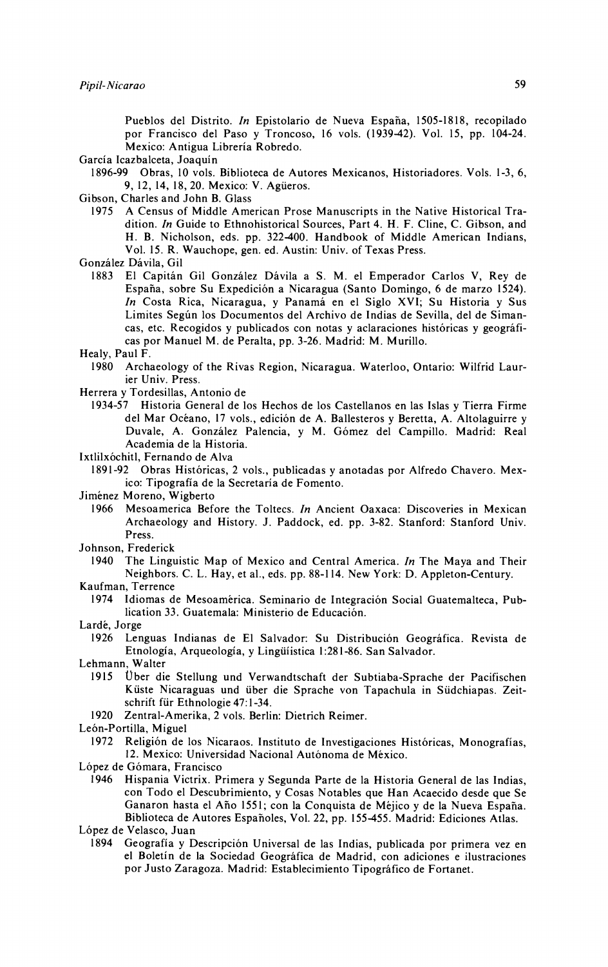Pueblos del Distrito. *In* Epistolario de Nueva España, 1505-1818, recopilado por Francisco del Paso y Troncoso, 16 vols. (1939-42). Vol. 15, pp. 104-24. Mexico: Antigua Libreria Robredo.

Garcia Icazbalceta, Joaquin

1896-99 Obras, 10 vols. Biblioteca de Autores Mexicanos, Historiadores. Vols. 1-3, 6, 9, 12, 14, 18, 20. Mexico: V. Agueros.

Gibson, Charles and John B. Glass

1975 A Census of Middle American Prose Manuscripts in the Native Historical Tradition. **In** Guide to Ethnohistorical Sources, Part 4. H. F. Cline, C. Gibson, and H. B. Nicholson, eds. pp. 322-400. Handbook of Middle American Indians, Vol. 15. R. Wauchope, gen. ed. Austin: Univ. of Texas Press.

Gonzalez Davila, Gil

1883 El Capitan Gil Gonzalez Davila a S. M. el Emperador Carlos V, Rey de España, sobre Su Expedición a Nicaragua (Santo Domingo, 6 de marzo 1524). **In** Costa Rica, Nicaragua, y Panama en el Siglo XVI; Su Historia y Sus Limites Según los Documentos del Archivo de Indias de Sevilla, del de Simancas, etc. Recogidos y publicados con notas y aclaraciones historicas y geograficas por Manuel M. de Peralta, pp. 3-26. Madrid: M. Murillo.

Healy, Paul F.

- Archaeology of the Rivas Region, Nicaragua. Waterloo, Ontario: Wilfrid Laurier Univ. Press.
- Herrera y Tordesillas, Antonio de
	- 1934-57 Historia General de 10s Hechos de 10s Castellanos en las Islas y Tierra Firme del Mar Oceano, 17 vols., edicion de A. Ballesteros y Beretta, A. Altolaguirre y Duvale, A. González Palencia, y M. Gómez del Campillo. Madrid: Real Academia de la Historia.

Ixtlilxóchitl, Fernando de Alva

- 1891-92 Obras Historicas, 2 vols., publicadas y anotadas por Alfredo Chavero. Mexico: Tipografia de la Secretaria de Fomento.
- Jimenez Moreno, Wigberto
	- 1966 Mesoamerica Before the Toltecs. **In** Ancient Oaxaca: Discoveries in Mexican Archaeology and History. J. Paddock, ed. pp. 3-82. Stanford: Stanford Univ. Press.
- Johnson, Frederick
	- 1940 The Linguistic Map of Mexico and Central America. **In** The Maya and Their Neighbors. C. L. Hay, et al., eds. pp. 88-1 14. New York: D. Appleton-Century.

Kaufman, Terrence

- Larde, Jorge
	- 1926 Lenguas Indianas de El Salvador: Su Distribucion Geografica. Revista de Etnologia, Arqueologia, y Linguiistica 1:281-86. San Salvador.

Lehmann, Walter

- 1915 Uber die Stellung und Verwandtschaft der Subtiaba-Sprache der Pacifischen Küste Nicaraguas und über die Sprache von Tapachula in Südchiapas. Zeitschrift fur Ethnologie 47:l-34.
- 1920 Zentral-Amerika, 2 vols. Berlin: Dietrich Reimer.

León-Portilla, Miguel

- 1972 Religion de 10s Nicaraos. Instituto de Investigaciones Historicas, Monografias, 12. Mexico: Universidad Nacional Autónoma de México.
- 
- López de Gómara, Francisco<br>1946 Hispania Victrix. Primera y Segunda Parte de la Historia General de las Indias, con Todo el Descubrimiento, y Cosas Notables que Han Acaecido desde que Se Ganaron hasta el Año 1551; con la Conquista de Méjico y de la Nueva España. Biblioteca de Autores Españoles, Vol. 22, pp. 155-455. Madrid: Ediciones Atlas.

López de Velasco, Juan<br>1894 - Geografía y D

<sup>1894</sup> Geografia y Descripcion Universal de las Indias, publicada por primera vez en el Boletin de la Sociedad Geografica de Madrid, con adiciones e ilustraciones por Justo Zaragoza. Madrid: Establecimiento Tipografico de Fortanet.

<sup>1974</sup> Idiomas de Mesoamerica. Seminario de Integracion Social Guatemalteca, Publication 33. Guatemala: Ministerio de Educacion.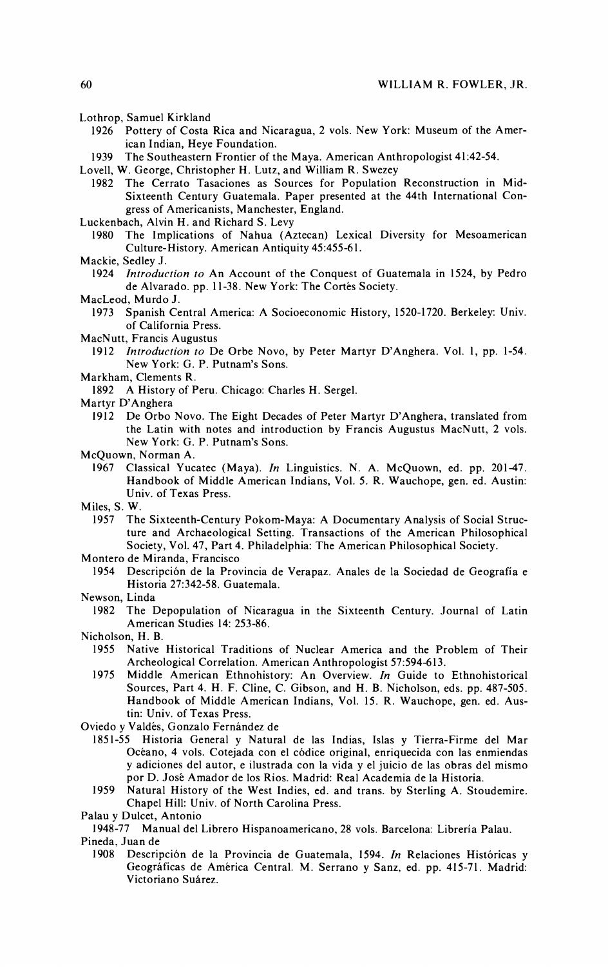- Lothrop, Samuel Kirkland
	- 1926 Pottery of Costa Rica and Nicaragua, 2 vols. New York: Museum of the American Indian, Heye Foundation.
	- 1939 The Southeastern Frontier of the Maya. American Anthropologist 41:42-54.
- Lovell, W. George, Christopher H. Lutz, and William R. Swezey
	- 1982 The Cerrato Tasaciones as Sources for Population Reconstruction in Mid-Sixteenth Century Guatemala. Paper presented at the 44th International Congress of Americanists, Manchester, England.
- Luckenbach, Alvin H. and Richard S. Levy
- 1980 The Implications of Nahua (Aztecan) Lexical Diversity for Mesoamerican Culture-History. American Antiquity 45:455-61.
- Mackie, Sedley J.<br>1924 Introduc
- *Introduction to An Account of the Conquest of Guatemala in 1524, by Pedro* de Alvarado. pp. 11-38. New York: The Cortés Society.
- MacLeod, Murdo J.
	- 1973 Spanish Central America: A Socioeconomic History, 1520-1720. Berkeley: Univ. of California Press.
- MacNutt, Francis Augustus
	- 1912 *Introduction to* De Orbe Novo, by Peter Martyr D'Anghera. Vol. 1, pp. 1-54. New York: G. P. Putnam's Sons.
- Markham, Clements R.
- 1892 A History of Peru. Chicago: Charles H. Sergel.
- Martyr D'Anghera
- 1912 De Orbo Novo. The Eight Decades of Peter Martyr D'Anghera, translated from the Latin with notes and introduction by Francis Augustus MacNutt, 2 vols. New York: G. P. Putnam's Sons.
- McQuown, Norman A.
	- 1967 Classical Yucatec (Maya). *In* Linguistics. N. A. McQuown, ed. pp. 201-47. Handbook of Middle American Indians, Vol. 5. R. Wauchope, gen. ed. Austin: Univ. of Texas Press.
- Miles, S. W.<br>1957 The
- The Sixteenth-Century Pokom-Maya: A Documentary Analysis of Social Structure and Archaeological Setting. Transactions of the American Philosophical Society, Vol. 47, Part 4. Philadelphia: The American Philosophical Society.
- Montero de Miranda, Francisco
	- 1954 Descripcion de la Provincia de Verapaz. Anales de la Sociedad de Geografia e Historia 27:342-58. Guatemala.
- Newson, Linda
	- 1982 The Depopulation of Nicaragua in the Sixteenth Century. Journal of Latin American Studies 14: 253-86.

Nicholson, H. B.

- 1955 Native Historical Traditions of Nuclear America and the Problem of Their Archeological Correlation. American Anthropologist 57:594-613.
- 1975 Middle American Ethnohistory: An Overview. *In* Guide to Ethnohistorical Sources, Part 4. H. F. Cline, C. Gibson, and H. B. Nicholson, eds. pp. 487-505. Handbook of Middle American Indians, Vol. 15. R. Wauchope, gen. ed. Austin: Univ, of Texas Press.

Oviedo y Valdés, Gonzalo Fernández de

- 1851-55 Historia General y Natural de las Indias, Islas y Tierra-Firme del Mar Océano, 4 vols. Cotejada con el códice original, enriquecida con las enmiendas y adiciones del autor, e ilustrada con la vida y el juicio de las obras del mismo por D. Jose Amador de 10s Rios. Madrid: Real Academia de la Historia.
- 1959 Natural History of the West Indies, ed. and trans. by Sterling A. Stoudemire. Chapel Hill: Univ. of North Carolina Press.
- Palau y Dulcet, Antonio
- 1948-77 Manual del Librero Hispanoamericano, 28 vols. Barcelona: Libreria Palau.
- Pineda, Juan de
	- 1908 Descripcion de la Provincia de Guatemala, 1594. *In* Relaciones Historicas y Geograficas de America Central. M. Serrano y Sanz, ed. pp. 415-71. Madrid: Victoriano Suárez.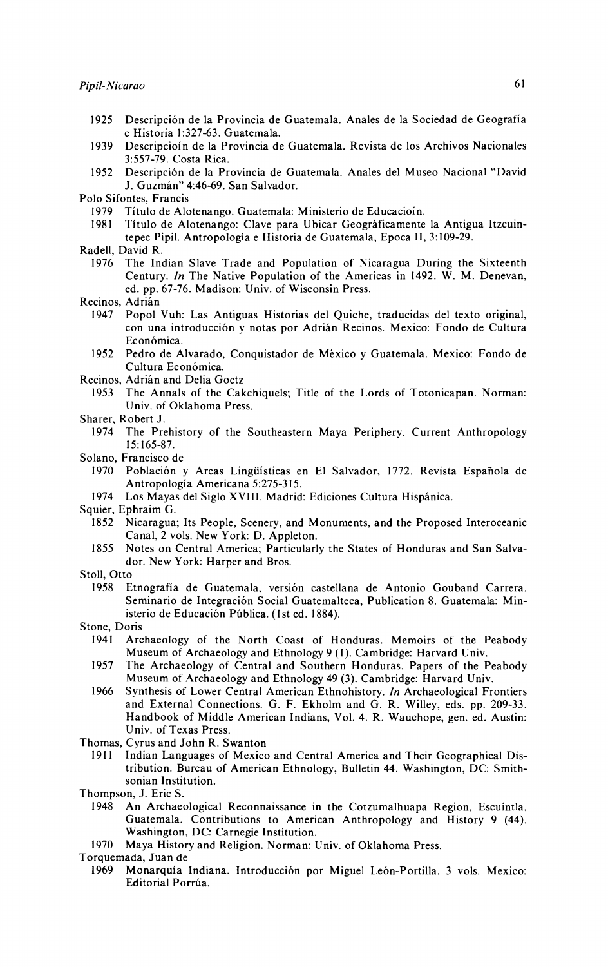- 1925 Descripcion de la Provincia de Guatemala. Anales de la Sociedad de Geografia e Historia 1:327-63. Guatemala.
- 1939 Descripcioin de la Provincia de Guatemala. Revista de 10s Archivos Nacionales 3:557-79. Costa Rica.
- 1952 Descripcion de la Provincia de Guatemala. Anales del Museo Nacional "David J. Guzman" 4:46-69. San Salvador.
- Polo Sifontes, Francis
	- 1979 Título de Alotenango. Guatemala: Ministerio de Educacioín.<br>1981 Título de Alotenango: Clave para Ubicar Geográficamente
	- Título de Alotenango: Clave para Ubicar Geográficamente la Antigua Itzcuintepec Pipil. Antropologia e Historia de Guatemala, Epoca 11, 3:109-29.
- Radell, David R.<br>1976 The Inc.
	- The Indian Slave Trade and Population of Nicaragua During the Sixteenth Century. **In** The Native Population of the Americas in 1492. W. M. Denevan, ed. pp. 67-76. Madison: Univ. of Wisconsin Press.
- Recinos, Adrian
	- 1947 Popol Vuh: Las Antiguas Historias del Quiche, traducidas del texto original, con una introduccion y notas por Adrian Recinos. Mexico: Fondo de Cultura Económica.
	- 1952 Pedro de Alvarado, Conquistador de México y Guatemala. Mexico: Fondo de Cultura Económica.
- Recinos, Adrian and Delia Goetz
- 1953 The Annals of the Cakchiquels; Title of the Lords of Totonicapan. Norman: Univ. of Oklahoma Press.
- Sharer, Robert J.<br>1974 The Pre
	- The Prehistory of the Southeastern Maya Periphery. Current Anthropology 15:165-87.
- Solano, Francisco de
	- 1970 Población y Areas Lingüísticas en El Salvador, 1772. Revista Española de Antropologia Americana 5:275-315.
	- 1974 Los Mayas del Siglo XVIII. Madrid: Ediciones Cultura Hispánica.

Squier, Ephraim G.

- 1852 Nicaragua; Its People, Scenery, and Monuments, and the Proposed Interoceanic Canal, 2 vols. New York: D. Appleton.
- 1855 Notes on Central America; Particularly the States of Honduras and San Salvador. New York: Harper and Bros.
- Stoll, Otto<br>1958 E
	- Etnografía de Guatemala, versión castellana de Antonio Gouband Carrera. Seminario de Integracion Social Guatemalteca, Publication 8. Guatemala: Ministerio de Educación Pública. (1st ed. 1884).
- Stone, Doris<br>1941 Arc
	- Archaeology of the North Coast of Honduras. Memoirs of the Peabody Museum of Archaeology and Ethnology 9 (I). Cambridge: Harvard Univ.
	- 1957 The Archaeology of Central and Southern Honduras. Papers of the Peabody Museum of Archaeology and Ethnology 49 (3). Cambridge: Harvard Univ.
	- 1966 Synthesis of Lower Central American Ethnohistory. **In** Archaeological Frontiers and External Connections. G. F. Ekholm and G. R. Willey, eds. pp. 209-33. Handbook of Middle American Indians, Vol. 4. R. Wauchope, gen, ed. Austin: Univ. of Texas Press.
- Thomas, Cyrus and John R. Swanton
	- 1911 Indian Languages of Mexico and Central America and Their Geographical Distribution. Bureau of American Ethnology, Bulletin 44. Washington, DC: Smithsonian Institution.

Thompson, J. Eric S.

- 1948 An Archaeological Reconnaissance in the Cotzumalhuapa Region, Escuintla, Guatemala. Contributions to American Anthropology and History 9 (44). Washington, DC: Carnegie Institution.
- 1970 Maya History and Religion. Norman: Univ. of Oklahoma Press.

Torquemada, Juan de

Monarquía Indiana. Introducción por Miguel León-Portilla. 3 vols. Mexico: Editorial Porrúa.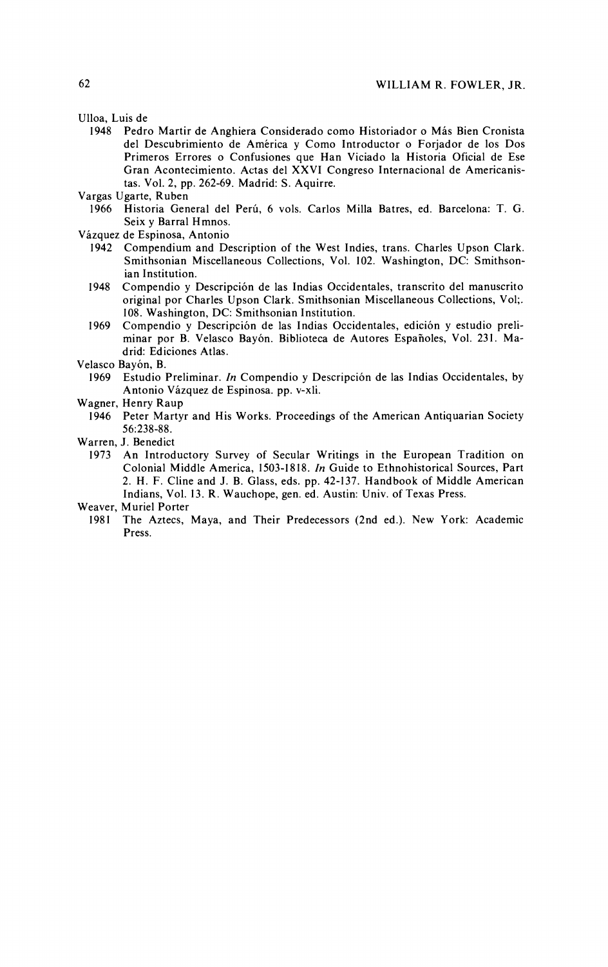1948 Pedro Martir de Anghiera Considerado como Historiador o Más Bien Cronista del Descubrimiento de América y Como Introductor o Forjador de los Dos Primeros Errores o Confusiones que Han Viciado la Historia Oficial de Ese Gran Acontecimiento. Actas del XXVI Congreso Internacional de Americanistas. Vol. 2, pp. 262-69. Madrid: S. Aquirre.

1966 Historia General del Peru, 6 vols. Carlos Milla Batres, ed. Barcelona: T. G. Seix y Barral Hmnos.

Vazquez de Espinosa, Antonio

- 1942 Compendium and Description of the West Indies, trans. Charles Upson Clark. Smithsonian Miscellaneous Collections, Vol. 102. Washington, DC: Smithsonian Institution.
- 1948 Compendio y Descripcion de las Indias Occidentales, transcrito del manuscrito original por Charles Upson Clark. Smithsonian Miscellaneous Collections, Vol;. 108. Washington, DC: Smithsonian Institution.
- 1969 Compendio y Descripción de las Indias Occidentales, edición y estudio preliminar por B. Velasco Bayón. Biblioteca de Autores Españoles, Vol. 231. Madrid: Ediciones Atlas.
- Velasco Bayón, B.
- 1969 Estudio Preliminar. *In* Compendio y Descripcion de las Indias Occidentales, by Antonio Vazquez de Espinosa. pp. v-xli.
- Wagner, Henry Raup
- 1946 Peter Martyr and His Works. Proceedings of the American Antiquarian Society 56:238-88.
- Warren, J. Benedict
- 1973 An Introductory Survey of Secular Writings in the European Tradition on Colonial Middle America, 1503-1818. *In* Guide to Ethnohistorical Sources, Part 2. H. F. Cline and J. B. Glass, eds. pp. 42-137. Handbook of Middle American Indians, Vol. 13. R. Wauchope, gen. ed. Austin: Univ. of Texas Press. Weaver, Muriel Porter

1981 The Aztecs, Maya, and Their Predecessors (2nd ed.). New York: Academic Press.

Ulloa, Luis de

Vargas Ugarte, Ruben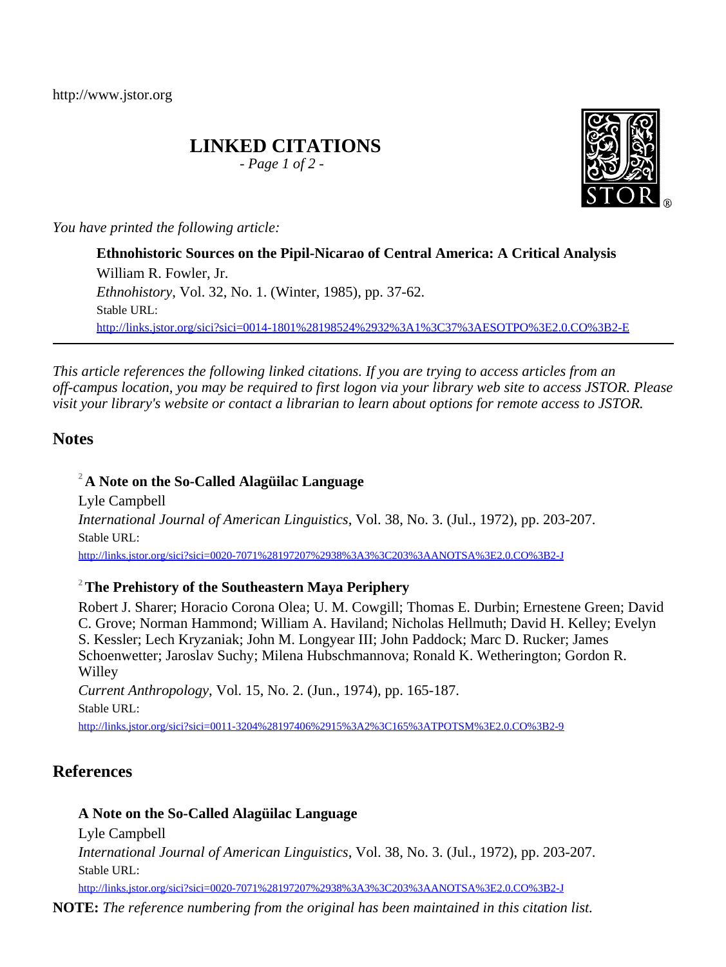http://www.jstor.org

# **LINKED CITATIONS**

*- Page 1 of 2 -*



*You have printed the following article:*

**Ethnohistoric Sources on the Pipil-Nicarao of Central America: A Critical Analysis** William R. Fowler, Jr. *Ethnohistory*, Vol. 32, No. 1. (Winter, 1985), pp. 37-62. Stable URL: [http://links.jstor.org/sici?sici=0014-1801%28198524%2932%3A1%3C37%3AESOTPO%3E2.0.CO%3B2-E](http://links.jstor.org/sici?sici=0014-1801%28198524%2932%3A1%3C37%3AESOTPO%3E2.0.CO%3B2-E&origin=JSTOR-pdf)

*This article references the following linked citations. If you are trying to access articles from an off-campus location, you may be required to first logon via your library web site to access JSTOR. Please visit your library's website or contact a librarian to learn about options for remote access to JSTOR.*

# **Notes**

**<sup>2</sup> A Note on the So-Called Alagüilac Language** Lyle Campbell *International Journal of American Linguistics*, Vol. 38, No. 3. (Jul., 1972), pp. 203-207. Stable URL: [http://links.jstor.org/sici?sici=0020-7071%28197207%2938%3A3%3C203%3AANOTSA%3E2.0.CO%3B2-J](http://links.jstor.org/sici?sici=0020-7071%28197207%2938%3A3%3C203%3AANOTSA%3E2.0.CO%3B2-J&origin=JSTOR-pdf)

# **<sup>2</sup>The Prehistory of the Southeastern Maya Periphery**

Robert J. Sharer; Horacio Corona Olea; U. M. Cowgill; Thomas E. Durbin; Ernestene Green; David C. Grove; Norman Hammond; William A. Haviland; Nicholas Hellmuth; David H. Kelley; Evelyn S. Kessler; Lech Kryzaniak; John M. Longyear III; John Paddock; Marc D. Rucker; James Schoenwetter; Jaroslav Suchy; Milena Hubschmannova; Ronald K. Wetherington; Gordon R. Willey

*Current Anthropology*, Vol. 15, No. 2. (Jun., 1974), pp. 165-187. Stable URL: [http://links.jstor.org/sici?sici=0011-3204%28197406%2915%3A2%3C165%3ATPOTSM%3E2.0.CO%3B2-9](http://links.jstor.org/sici?sici=0011-3204%28197406%2915%3A2%3C165%3ATPOTSM%3E2.0.CO%3B2-9&origin=JSTOR-pdf)

# **References**

# **A Note on the So-Called Alagüilac Language**

Lyle Campbell

*International Journal of American Linguistics*, Vol. 38, No. 3. (Jul., 1972), pp. 203-207. Stable URL:

[http://links.jstor.org/sici?sici=0020-7071%28197207%2938%3A3%3C203%3AANOTSA%3E2.0.CO%3B2-J](http://links.jstor.org/sici?sici=0020-7071%28197207%2938%3A3%3C203%3AANOTSA%3E2.0.CO%3B2-J&origin=JSTOR-pdf)

**NOTE:** *The reference numbering from the original has been maintained in this citation list.*